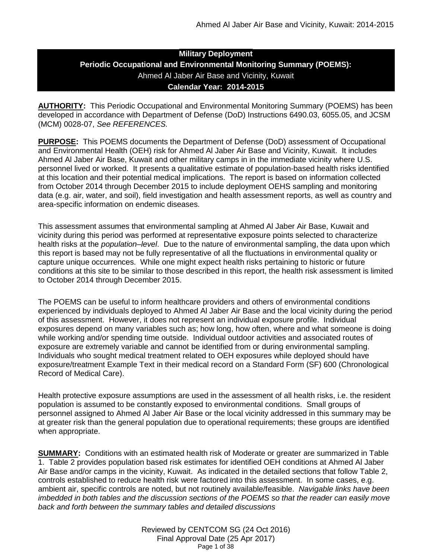# **Military Deployment Periodic Occupational and Environmental Monitoring Summary (POEMS):** Ahmed Al Jaber Air Base and Vicinity, Kuwait **Calendar Year: 2014-2015**

**AUTHORITY:** This Periodic Occupational and Environmental Monitoring Summary (POEMS) has been developed in accordance with Department of Defense (DoD) Instructions 6490.03, 6055.05, and JCSM (MCM) 0028-07, *See REFERENCES.*

**PURPOSE:** This POEMS documents the Department of Defense (DoD) assessment of Occupational and Environmental Health (OEH) risk for Ahmed Al Jaber Air Base and Vicinity, Kuwait. It includes Ahmed Al Jaber Air Base, Kuwait and other military camps in in the immediate vicinity where U.S. personnel lived or worked. It presents a qualitative estimate of population-based health risks identified at this location and their potential medical implications. The report is based on information collected from October 2014 through December 2015 to include deployment OEHS sampling and monitoring data (e.g. air, water, and soil), field investigation and health assessment reports, as well as country and area-specific information on endemic diseases.

This assessment assumes that environmental sampling at Ahmed Al Jaber Air Base, Kuwait and vicinity during this period was performed at representative exposure points selected to characterize health risks at the *population–level*. Due to the nature of environmental sampling, the data upon which this report is based may not be fully representative of all the fluctuations in environmental quality or capture unique occurrences. While one might expect health risks pertaining to historic or future conditions at this site to be similar to those described in this report, the health risk assessment is limited to October 2014 through December 2015.

The POEMS can be useful to inform healthcare providers and others of environmental conditions experienced by individuals deployed to Ahmed Al Jaber Air Base and the local vicinity during the period of this assessment. However, it does not represent an individual exposure profile. Individual exposures depend on many variables such as; how long, how often, where and what someone is doing while working and/or spending time outside. Individual outdoor activities and associated routes of exposure are extremely variable and cannot be identified from or during environmental sampling. Individuals who sought medical treatment related to OEH exposures while deployed should have exposure/treatment Example Text in their medical record on a Standard Form (SF) 600 (Chronological Record of Medical Care).

Health protective exposure assumptions are used in the assessment of all health risks, i.e. the resident population is assumed to be constantly exposed to environmental conditions. Small groups of personnel assigned to Ahmed Al Jaber Air Base or the local vicinity addressed in this summary may be at greater risk than the general population due to operational requirements; these groups are identified when appropriate.

**SUMMARY:** Conditions with an estimated health risk of Moderate or greater are summarized in Table 1. Table 2 provides population based risk estimates for identified OEH conditions at Ahmed Al Jaber Air Base and/or camps in the vicinity, Kuwait. As indicated in the detailed sections that follow Table 2, controls established to reduce health risk were factored into this assessment. In some cases, e.g. ambient air, specific controls are noted, but not routinely available/feasible. *Navigable links have been imbedded in both tables and the discussion sections of the POEMS so that the reader can easily move back and forth between the summary tables and detailed discussions*

> Reviewed by CENTCOM SG (24 Oct 2016) Final Approval Date (25 Apr 2017) Page 1 of 38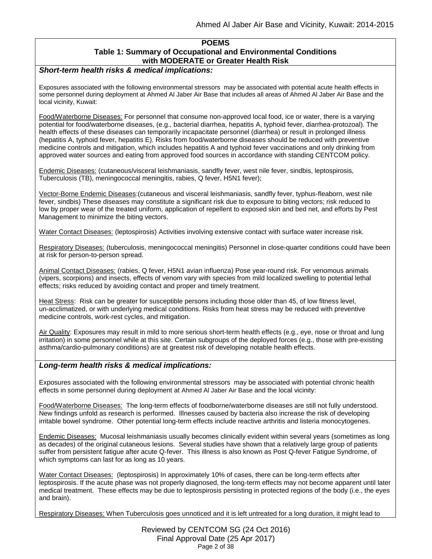#### **POEMS**

# **Table 1: Summary of Occupational and Environmental Conditions with MODERATE or Greater Health Risk**

## *Short-term health risks & medical implications:*

Exposures associated with the following environmental stressors may be associated with potential acute health effects in some personnel during deployment at Ahmed Al Jaber Air Base that includes all areas of Ahmed Al Jaber Air Base and the local vicinity, Kuwait:

Food/Waterborne Diseases: For personnel that consume non-approved local food, ice or water, there is a varying potential for food/waterborne diseases, (e.g., bacterial diarrhea, hepatitis A, typhoid fever, diarrhea-protozoal). The health effects of these diseases can temporarily incapacitate personnel (diarrhea) or result in prolonged illness (hepatitis A, typhoid fever, hepatitis E). Risks from food/waterborne diseases should be reduced with preventive medicine controls and mitigation, which includes hepatitis A and typhoid fever vaccinations and only drinking from approved water sources and eating from approved food sources in accordance with standing CENTCOM policy.

Endemic Diseases: (cutaneous/visceral leishmaniasis, sandfly fever, west nile fever, sindbis, leptospirosis, Tuberculosis (TB), meningococcal meningitis, rabies, Q fever, H5N1 fever);

Vector-Borne Endemic Diseases:(cutaneous and visceral leishmaniasis, sandfly fever, typhus-fleaborn, west nile fever, sindbis) These diseases may constitute a significant risk due to exposure to biting vectors; risk reduced to low by proper wear of the treated uniform, application of repellent to exposed skin and bed net, and efforts by Pest Management to minimize the biting vectors.

Water Contact Diseases: (leptospirosis) Activities involving extensive contact with surface water increase risk.

Respiratory Diseases: (tuberculosis, meningococcal meningitis) Personnel in close-quarter conditions could have been at risk for person-to-person spread.

Animal Contact Diseases: (rabies, Q fever, H5N1 avian influenza) Pose year-round risk. For venomous animals (vipers, scorpions) and insects, effects of venom vary with species from mild localized swelling to potential lethal effects; risks reduced by avoiding contact and proper and timely treatment.

Heat Stress: Risk can be greater for susceptible persons including those older than 45, of low fitness level, un-acclimatized, or with underlying medical conditions. Risks from heat stress may be reduced with preventive medicine controls, work-rest cycles, and mitigation.

Air Quality: Exposures may result in mild to more serious short-term health effects (e.g., eye, nose or throat and lung irritation) in some personnel while at this site. Certain subgroups of the deployed forces (e.g., those with pre-existing asthma/cardio-pulmonary conditions) are at greatest risk of developing notable health effects.

# *Long-term health risks & medical implications:*

Exposures associated with the following environmental stressors may be associated with potential chronic health effects in some personnel during deployment at Ahmed Al Jaber Air Base and the local vicinity:

Food/Waterborne Diseases: The long-term effects of foodborne/waterborne diseases are still not fully understood. New findings unfold as research is performed. Illnesses caused by bacteria also increase the risk of developing irritable bowel syndrome. Other potential long-term effects include reactive arthritis and listeria monocytogenes.

Endemic Diseases: Mucosal leishmaniasis usually becomes clinically evident within several years (sometimes as long as decades) of the original cutaneous lesions. Several studies have shown that a relatively large group of patients suffer from persistent fatigue after acute Q-fever. This illness is also known as Post Q-fever Fatigue Syndrome, of which symptoms can last for as long as 10 years.

Water Contact Diseases: (leptospirosis) In approximately 10% of cases, there can be long-term effects after leptospirosis. If the acute phase was not properly diagnosed, the long-term effects may not become apparent until later medical treatment. These effects may be due to leptospirosis persisting in protected regions of the body (i.e., the eyes and brain).

Respiratory Diseases: When Tuberculosis goes unnoticed and it is left untreated for a long duration, it might lead to

Reviewed by CENTCOM SG (24 Oct 2016) Final Approval Date (25 Apr 2017) Page 2 of 38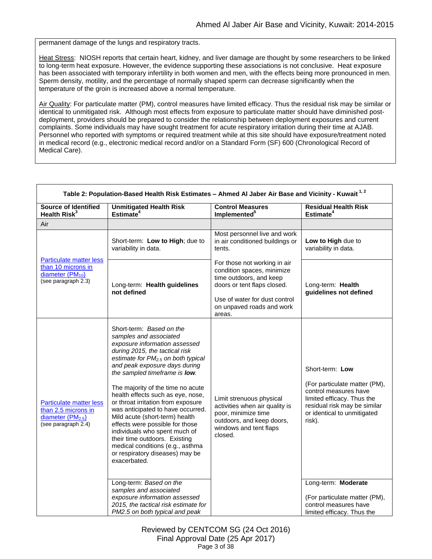permanent damage of the lungs and respiratory tracts.

Heat Stress: NIOSH reports that certain heart, kidney, and liver damage are thought by some researchers to be linked to long-term heat exposure. However, the evidence supporting these associations is not conclusive. Heat exposure has been associated with temporary infertility in both women and men, with the effects being more pronounced in men. Sperm density, motility, and the percentage of normally shaped sperm can decrease significantly when the temperature of the groin is increased above a normal temperature.

Air Quality: For particulate matter (PM), control measures have limited efficacy. Thus the residual risk may be similar or identical to unmitigated risk. Although most effects from exposure to particulate matter should have diminished postdeployment, providers should be prepared to consider the relationship between deployment exposures and current complaints. Some individuals may have sought treatment for acute respiratory irritation during their time at AJAB. Personnel who reported with symptoms or required treatment while at this site should have exposure/treatment noted in medical record (e.g., electronic medical record and/or on a Standard Form (SF) 600 (Chronological Record of Medical Care).

| Table 2: Population-Based Health Risk Estimates - Ahmed Al Jaber Air Base and Vicinity - Kuwait <sup>1,2</sup> |                                                                                                                                                                                                                                                                                                                                                                                                                                                                                                                                                                                                                              |                                                                                                                                                                                              |                                                                                                                                                                                  |
|----------------------------------------------------------------------------------------------------------------|------------------------------------------------------------------------------------------------------------------------------------------------------------------------------------------------------------------------------------------------------------------------------------------------------------------------------------------------------------------------------------------------------------------------------------------------------------------------------------------------------------------------------------------------------------------------------------------------------------------------------|----------------------------------------------------------------------------------------------------------------------------------------------------------------------------------------------|----------------------------------------------------------------------------------------------------------------------------------------------------------------------------------|
| <b>Source of Identified</b><br>Health Risk <sup>3</sup>                                                        | <b>Unmitigated Health Risk</b><br>Estimate <sup>4</sup>                                                                                                                                                                                                                                                                                                                                                                                                                                                                                                                                                                      | <b>Control Measures</b><br>Implemented <sup>5</sup>                                                                                                                                          | <b>Residual Health Risk</b><br>Estimate <sup>4</sup>                                                                                                                             |
| Air                                                                                                            |                                                                                                                                                                                                                                                                                                                                                                                                                                                                                                                                                                                                                              |                                                                                                                                                                                              |                                                                                                                                                                                  |
| <b>Particulate matter less</b><br>than 10 microns in<br>diameter (PM <sub>10</sub> )<br>(see paragraph 2.3)    | Short-term: Low to High; due to<br>variability in data.                                                                                                                                                                                                                                                                                                                                                                                                                                                                                                                                                                      | Most personnel live and work<br>in air conditioned buildings or<br>tents.                                                                                                                    | Low to High due to<br>variability in data.                                                                                                                                       |
|                                                                                                                | Long-term: Health guidelines<br>not defined                                                                                                                                                                                                                                                                                                                                                                                                                                                                                                                                                                                  | For those not working in air<br>condition spaces, minimize<br>time outdoors, and keep<br>doors or tent flaps closed.<br>Use of water for dust control<br>on unpaved roads and work<br>areas. | Long-term: Health<br>guidelines not defined                                                                                                                                      |
| <b>Particulate matter less</b><br>than 2.5 microns in<br>diameter $(PM2.5)$<br>$(see$ paragraph $2.4$ )        | Short-term: Based on the<br>samples and associated<br>exposure information assessed<br>during 2015, the tactical risk<br>estimate for PM <sub>2.5</sub> on both typical<br>and peak exposure days during<br>the sampled timeframe is low.<br>The majority of the time no acute<br>health effects such as eye, nose,<br>or throat irritation from exposure<br>was anticipated to have occurred.<br>Mild acute (short-term) health<br>effects were possible for those<br>individuals who spent much of<br>their time outdoors. Existing<br>medical conditions (e.g., asthma<br>or respiratory diseases) may be<br>exacerbated. | Limit strenuous physical<br>activities when air quality is<br>poor, minimize time<br>outdoors, and keep doors,<br>windows and tent flaps<br>closed.                                          | Short-term: Low<br>(For particulate matter (PM),<br>control measures have<br>limited efficacy. Thus the<br>residual risk may be similar<br>or identical to unmitigated<br>risk). |
|                                                                                                                | Long-term: Based on the<br>samples and associated<br>exposure information assessed<br>2015, the tactical risk estimate for<br>PM2.5 on both typical and peak                                                                                                                                                                                                                                                                                                                                                                                                                                                                 |                                                                                                                                                                                              | Long-term: Moderate<br>(For particulate matter (PM),<br>control measures have<br>limited efficacy. Thus the                                                                      |

#### Reviewed by CENTCOM SG (24 Oct 2016) Final Approval Date (25 Apr 2017) Page 3 of 38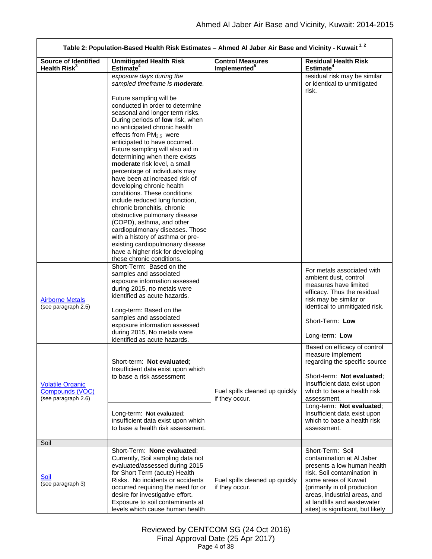| Table 2: Population-Based Health Risk Estimates - Ahmed Al Jaber Air Base and Vicinity - Kuwait <sup>1,2</sup> |                                                                                                                                                                                                                                                                                                                                                                                                                                                                                                                                                                                                                                                                                                                                                                       |                                                     |                                                                                                                                                                                                                                                                         |  |
|----------------------------------------------------------------------------------------------------------------|-----------------------------------------------------------------------------------------------------------------------------------------------------------------------------------------------------------------------------------------------------------------------------------------------------------------------------------------------------------------------------------------------------------------------------------------------------------------------------------------------------------------------------------------------------------------------------------------------------------------------------------------------------------------------------------------------------------------------------------------------------------------------|-----------------------------------------------------|-------------------------------------------------------------------------------------------------------------------------------------------------------------------------------------------------------------------------------------------------------------------------|--|
| <b>Source of Identified</b><br>Health Risk <sup>3</sup>                                                        | <b>Unmitigated Health Risk</b><br>Estimate <sup>4</sup>                                                                                                                                                                                                                                                                                                                                                                                                                                                                                                                                                                                                                                                                                                               | <b>Control Measures</b><br>Implemented <sup>5</sup> | <b>Residual Health Risk</b><br>Estimate <sup>4</sup>                                                                                                                                                                                                                    |  |
|                                                                                                                | exposure days during the<br>sampled timeframe is moderate.                                                                                                                                                                                                                                                                                                                                                                                                                                                                                                                                                                                                                                                                                                            |                                                     | residual risk may be similar<br>or identical to unmitigated                                                                                                                                                                                                             |  |
|                                                                                                                | Future sampling will be<br>conducted in order to determine<br>seasonal and longer term risks.<br>During periods of <b>low</b> risk, when<br>no anticipated chronic health<br>effects from PM <sub>2.5</sub> were<br>anticipated to have occurred.<br>Future sampling will also aid in<br>determining when there exists<br>moderate risk level, a small<br>percentage of individuals may<br>have been at increased risk of<br>developing chronic health<br>conditions. These conditions<br>include reduced lung function,<br>chronic bronchitis, chronic<br>obstructive pulmonary disease<br>(COPD), asthma, and other<br>cardiopulmonary diseases. Those<br>with a history of asthma or pre-<br>existing cardiopulmonary disease<br>have a higher risk for developing |                                                     | risk.                                                                                                                                                                                                                                                                   |  |
| <b>Airborne Metals</b><br>(see paragraph 2.5)                                                                  | these chronic conditions.<br>Short-Term: Based on the<br>samples and associated<br>exposure information assessed<br>during 2015, no metals were<br>identified as acute hazards.<br>Long-term: Based on the<br>samples and associated<br>exposure information assessed<br>during 2015, No metals were<br>identified as acute hazards.                                                                                                                                                                                                                                                                                                                                                                                                                                  |                                                     | For metals associated with<br>ambient dust, control<br>measures have limited<br>efficacy. Thus the residual<br>risk may be similar or<br>identical to unmitigated risk.<br>Short-Term: Low<br>Long-term: Low                                                            |  |
| <b>Volatile Organic</b><br>Compounds (VOC)<br>(see paragraph 2.6)                                              | Short-term: Not evaluated;<br>Insufficient data exist upon which<br>to base a risk assessment                                                                                                                                                                                                                                                                                                                                                                                                                                                                                                                                                                                                                                                                         | Fuel spills cleaned up quickly<br>if they occur.    | Based on efficacy of control<br>measure implement<br>regarding the specific source<br>Short-term: Not evaluated;<br>Insufficient data exist upon<br>which to base a health risk<br>assessment.                                                                          |  |
|                                                                                                                | Long-term: Not evaluated;<br>Insufficient data exist upon which<br>to base a health risk assessment.                                                                                                                                                                                                                                                                                                                                                                                                                                                                                                                                                                                                                                                                  |                                                     | Long-term: Not evaluated;<br>Insufficient data exist upon<br>which to base a health risk<br>assessment.                                                                                                                                                                 |  |
| Soil                                                                                                           |                                                                                                                                                                                                                                                                                                                                                                                                                                                                                                                                                                                                                                                                                                                                                                       |                                                     |                                                                                                                                                                                                                                                                         |  |
| Soil<br>(see paragraph 3)                                                                                      | Short-Term: None evaluated:<br>Currently, Soil sampling data not<br>evaluated/assessed during 2015<br>for Short Term (acute) Health<br>Risks. No incidents or accidents<br>occurred requiring the need for or<br>desire for investigative effort.<br>Exposure to soil contaminants at<br>levels which cause human health                                                                                                                                                                                                                                                                                                                                                                                                                                              | Fuel spills cleaned up quickly<br>if they occur.    | Short-Term: Soil<br>contamination at AI Jaber<br>presents a low human health<br>risk. Soil contamination in<br>some areas of Kuwait<br>(primarily in oil production<br>areas, industrial areas, and<br>at landfills and wastewater<br>sites) is significant, but likely |  |

Г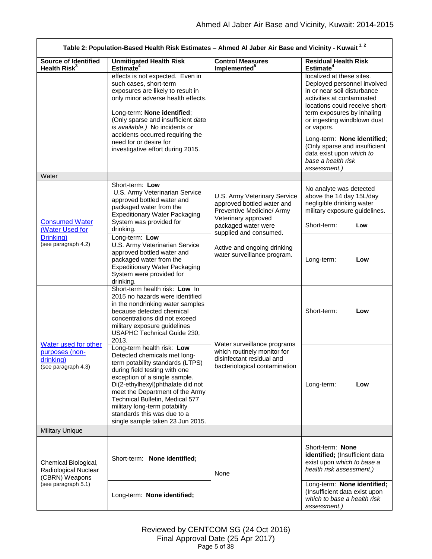٦

| Table 2: Population-Based Health Risk Estimates - Ahmed Al Jaber Air Base and Vicinity - Kuwait <sup>1,2</sup> |                                                                                                                                                                                                                                                                                                                                                                                 |                                                                                                                                                                                                                               |                                                                                                                                                                                                                                                                                                                                                                      |  |
|----------------------------------------------------------------------------------------------------------------|---------------------------------------------------------------------------------------------------------------------------------------------------------------------------------------------------------------------------------------------------------------------------------------------------------------------------------------------------------------------------------|-------------------------------------------------------------------------------------------------------------------------------------------------------------------------------------------------------------------------------|----------------------------------------------------------------------------------------------------------------------------------------------------------------------------------------------------------------------------------------------------------------------------------------------------------------------------------------------------------------------|--|
| <b>Source of Identified</b><br>Health Risk <sup>3</sup>                                                        | <b>Unmitigated Health Risk</b><br>Estimate <sup>4</sup>                                                                                                                                                                                                                                                                                                                         | <b>Control Measures</b><br>Implemented <sup>5</sup>                                                                                                                                                                           | <b>Residual Health Risk</b><br>Estimate <sup>4</sup>                                                                                                                                                                                                                                                                                                                 |  |
|                                                                                                                | effects is not expected. Even in<br>such cases, short-term<br>exposures are likely to result in<br>only minor adverse health effects.<br>Long-term: None identified;<br>(Only sparse and insufficient data<br>is available.) No incidents or<br>accidents occurred requiring the<br>need for or desire for<br>investigative effort during 2015.                                 |                                                                                                                                                                                                                               | localized at these sites.<br>Deployed personnel involved<br>in or near soil disturbance<br>activities at contaminated<br>locations could receive short-<br>term exposures by inhaling<br>or ingesting windblown dust<br>or vapors.<br>Long-term: None identified;<br>(Only sparse and insufficient<br>data exist upon which to<br>base a health risk<br>assessment.) |  |
| Water                                                                                                          |                                                                                                                                                                                                                                                                                                                                                                                 |                                                                                                                                                                                                                               |                                                                                                                                                                                                                                                                                                                                                                      |  |
| <b>Consumed Water</b>                                                                                          | Short-term: Low<br>U.S. Army Veterinarian Service<br>approved bottled water and<br>packaged water from the<br><b>Expeditionary Water Packaging</b><br>System was provided for                                                                                                                                                                                                   | U.S. Army Veterinary Service<br>approved bottled water and<br>Preventive Medicine/ Army<br>Veterinary approved<br>packaged water were<br>supplied and consumed.<br>Active and ongoing drinking<br>water surveillance program. | No analyte was detected<br>above the 14 day 15L/day<br>negligible drinking water<br>military exposure guidelines.<br>Short-term:<br>Low                                                                                                                                                                                                                              |  |
| (Water Used for                                                                                                | drinking.<br>Long-term: Low                                                                                                                                                                                                                                                                                                                                                     |                                                                                                                                                                                                                               |                                                                                                                                                                                                                                                                                                                                                                      |  |
| Drinking)<br>(see paragraph 4.2)                                                                               | U.S. Army Veterinarian Service<br>approved bottled water and<br>packaged water from the<br><b>Expeditionary Water Packaging</b><br>System were provided for<br>drinking.                                                                                                                                                                                                        |                                                                                                                                                                                                                               | Long-term:<br>Low                                                                                                                                                                                                                                                                                                                                                    |  |
| Water used for other<br>purposes (non-<br>drinking)<br>(see paragraph 4.3)                                     | Short-term health risk: Low In<br>2015 no hazards were identified<br>in the nondrinking water samples<br>because detected chemical<br>concentrations did not exceed<br>military exposure guidelines<br>USAPHC Technical Guide 230,<br>2013.                                                                                                                                     | Water surveillance programs<br>which routinely monitor for<br>disinfectant residual and<br>bacteriological contamination                                                                                                      | Short-term:<br>Low                                                                                                                                                                                                                                                                                                                                                   |  |
|                                                                                                                | Long-term health risk: Low<br>Detected chemicals met long-<br>term potability standards (LTPS)<br>during field testing with one<br>exception of a single sample.<br>Di(2-ethylhexyl)phthalate did not<br>meet the Department of the Army<br>Technical Bulletin, Medical 577<br>military long-term potability<br>standards this was due to a<br>single sample taken 23 Jun 2015. |                                                                                                                                                                                                                               | Long-term:<br>Low                                                                                                                                                                                                                                                                                                                                                    |  |
| <b>Military Unique</b>                                                                                         |                                                                                                                                                                                                                                                                                                                                                                                 |                                                                                                                                                                                                                               |                                                                                                                                                                                                                                                                                                                                                                      |  |
| Chemical Biological,<br>Radiological Nuclear<br>(CBRN) Weapons<br>(see paragraph 5.1)                          | Short-term: None identified;                                                                                                                                                                                                                                                                                                                                                    | None                                                                                                                                                                                                                          | Short-term: None<br>identified; (Insufficient data<br>exist upon which to base a<br>health risk assessment.)                                                                                                                                                                                                                                                         |  |
|                                                                                                                | Long-term: None identified;                                                                                                                                                                                                                                                                                                                                                     |                                                                                                                                                                                                                               | Long-term: None identified;<br>(Insufficient data exist upon<br>which to base a health risk<br>assessment.)                                                                                                                                                                                                                                                          |  |

ı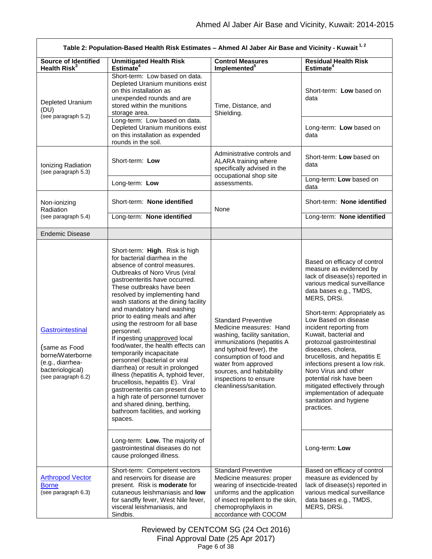| Table 2: Population-Based Health Risk Estimates - Ahmed Al Jaber Air Base and Vicinity - Kuwait <sup>1,2</sup>       |                                                                                                                                                                                                                                                                                                                                                                                                                                                                                                                                                                                                                                                                                                                                                                                                                  |                                                                                                                                                                                                                                                                                    |                                                                                                                                                                                                                                                                                                                                                                                                                                                                                                                                                                 |
|----------------------------------------------------------------------------------------------------------------------|------------------------------------------------------------------------------------------------------------------------------------------------------------------------------------------------------------------------------------------------------------------------------------------------------------------------------------------------------------------------------------------------------------------------------------------------------------------------------------------------------------------------------------------------------------------------------------------------------------------------------------------------------------------------------------------------------------------------------------------------------------------------------------------------------------------|------------------------------------------------------------------------------------------------------------------------------------------------------------------------------------------------------------------------------------------------------------------------------------|-----------------------------------------------------------------------------------------------------------------------------------------------------------------------------------------------------------------------------------------------------------------------------------------------------------------------------------------------------------------------------------------------------------------------------------------------------------------------------------------------------------------------------------------------------------------|
| <b>Source of Identified</b><br>Health Risk <sup>3</sup>                                                              | <b>Unmitigated Health Risk</b><br>Estimate <sup>4</sup>                                                                                                                                                                                                                                                                                                                                                                                                                                                                                                                                                                                                                                                                                                                                                          | <b>Control Measures</b><br>Implemented <sup>5</sup>                                                                                                                                                                                                                                | <b>Residual Health Risk</b><br>Estimate <sup>4</sup>                                                                                                                                                                                                                                                                                                                                                                                                                                                                                                            |
| Depleted Uranium<br>(DU)<br>(see paragraph 5.2)                                                                      | Short-term: Low based on data.<br>Depleted Uranium munitions exist<br>on this installation as<br>unexpended rounds and are<br>stored within the munitions<br>storage area.<br>Long-term: Low based on data.                                                                                                                                                                                                                                                                                                                                                                                                                                                                                                                                                                                                      | Time, Distance, and<br>Shielding.                                                                                                                                                                                                                                                  | Short-term: Low based on<br>data                                                                                                                                                                                                                                                                                                                                                                                                                                                                                                                                |
|                                                                                                                      | Depleted Uranium munitions exist<br>on this installation as expended<br>rounds in the soil.                                                                                                                                                                                                                                                                                                                                                                                                                                                                                                                                                                                                                                                                                                                      |                                                                                                                                                                                                                                                                                    | Long-term: Low based on<br>data                                                                                                                                                                                                                                                                                                                                                                                                                                                                                                                                 |
| Ionizing Radiation<br>(see paragraph 5.3)                                                                            | Short-term: Low                                                                                                                                                                                                                                                                                                                                                                                                                                                                                                                                                                                                                                                                                                                                                                                                  | Administrative controls and<br>ALARA training where<br>specifically advised in the                                                                                                                                                                                                 | Short-term: Low based on<br>data                                                                                                                                                                                                                                                                                                                                                                                                                                                                                                                                |
|                                                                                                                      | Long-term: Low                                                                                                                                                                                                                                                                                                                                                                                                                                                                                                                                                                                                                                                                                                                                                                                                   | occupational shop site<br>assessments.                                                                                                                                                                                                                                             | Long-term: Low based on<br>data                                                                                                                                                                                                                                                                                                                                                                                                                                                                                                                                 |
| Non-ionizing<br>Radiation                                                                                            | Short-term: None identified                                                                                                                                                                                                                                                                                                                                                                                                                                                                                                                                                                                                                                                                                                                                                                                      | None                                                                                                                                                                                                                                                                               | Short-term: None identified                                                                                                                                                                                                                                                                                                                                                                                                                                                                                                                                     |
| (see paragraph 5.4)                                                                                                  | Long-term: None identified                                                                                                                                                                                                                                                                                                                                                                                                                                                                                                                                                                                                                                                                                                                                                                                       |                                                                                                                                                                                                                                                                                    | Long-term: None identified                                                                                                                                                                                                                                                                                                                                                                                                                                                                                                                                      |
| <b>Endemic Disease</b>                                                                                               |                                                                                                                                                                                                                                                                                                                                                                                                                                                                                                                                                                                                                                                                                                                                                                                                                  |                                                                                                                                                                                                                                                                                    |                                                                                                                                                                                                                                                                                                                                                                                                                                                                                                                                                                 |
| Gastrointestinal<br>(same as Food<br>borne/Waterborne<br>(e.g., diarrhea-<br>bacteriological)<br>(see paragraph 6.2) | Short-term: High. Risk is high<br>for bacterial diarrhea in the<br>absence of control measures.<br>Outbreaks of Noro Virus (viral<br>gastroenteritis have occurred.<br>These outbreaks have been<br>resolved by implementing hand<br>wash stations at the dining facility<br>and mandatory hand washing<br>prior to eating meals and after<br>using the restroom for all base<br>personnel.<br>If ingesting <i>unapproved</i> local<br>food/water, the health effects can<br>temporarily incapacitate<br>personnel (bacterial or viral<br>diarrhea) or result in prolonged<br>illness (hepatitis A, typhoid fever,<br>brucellosis, hepatitis E). Viral<br>gastroenteritis can present due to<br>a high rate of personnel turnover<br>and shared dining, berthing,<br>bathroom facilities, and working<br>spaces. | <b>Standard Preventive</b><br>Medicine measures: Hand<br>washing, facility sanitation,<br>immunizations (hepatitis A<br>and typhoid fever), the<br>consumption of food and<br>water from approved<br>sources, and habitability<br>inspections to ensure<br>cleanliness/sanitation. | Based on efficacy of control<br>measure as evidenced by<br>lack of disease(s) reported in<br>various medical surveillance<br>data bases e.g., TMDS,<br>MERS, DRSi.<br>Short-term: Appropriately as<br>Low Based on disease<br>incident reporting from<br>Kuwait, bacterial and<br>protozoal gastrointestinal<br>diseases, cholera,<br>brucellosis, and hepatitis E<br>infections present a low risk.<br>Noro Virus and other<br>potential risk have been<br>mitigated effectively through<br>implementation of adequate<br>sanitation and hygiene<br>practices. |
|                                                                                                                      | Long-term: Low. The majority of<br>gastrointestinal diseases do not<br>cause prolonged illness.                                                                                                                                                                                                                                                                                                                                                                                                                                                                                                                                                                                                                                                                                                                  |                                                                                                                                                                                                                                                                                    | Long-term: Low                                                                                                                                                                                                                                                                                                                                                                                                                                                                                                                                                  |
| <b>Arthropod Vector</b><br><b>Borne</b><br>(see paragraph 6.3)                                                       | Short-term: Competent vectors<br>and reservoirs for disease are<br>present. Risk is <b>moderate</b> for<br>cutaneous leishmaniasis and <b>low</b><br>for sandfly fever, West Nile fever,<br>visceral leishmaniasis, and<br>Sindbis.                                                                                                                                                                                                                                                                                                                                                                                                                                                                                                                                                                              | <b>Standard Preventive</b><br>Medicine measures: proper<br>wearing of insecticide-treated<br>uniforms and the application<br>of insect repellent to the skin,<br>chemoprophylaxis in<br>accordance with COCOM                                                                      | Based on efficacy of control<br>measure as evidenced by<br>lack of disease(s) reported in<br>various medical surveillance<br>data bases e.g., TMDS,<br>MERS, DRSi.                                                                                                                                                                                                                                                                                                                                                                                              |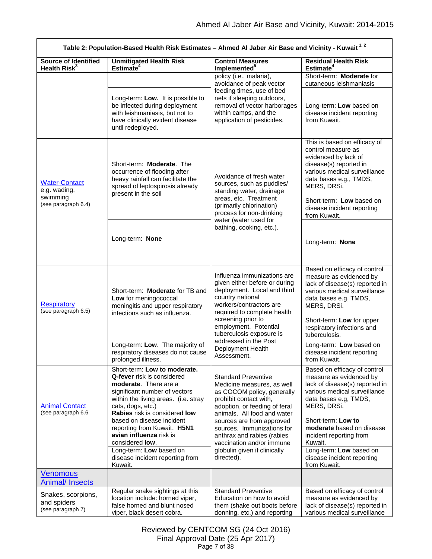| Table 2: Population-Based Health Risk Estimates - Ahmed Al Jaber Air Base and Vicinity - Kuwait <sup>1,2</sup> |                                                                                                                                                                                                                                                                                                                                                                                                                                            |                                                                                                                                                                                                                                                                                                                                                      |                                                                                                                                                                                                                                                                                                                                                     |
|----------------------------------------------------------------------------------------------------------------|--------------------------------------------------------------------------------------------------------------------------------------------------------------------------------------------------------------------------------------------------------------------------------------------------------------------------------------------------------------------------------------------------------------------------------------------|------------------------------------------------------------------------------------------------------------------------------------------------------------------------------------------------------------------------------------------------------------------------------------------------------------------------------------------------------|-----------------------------------------------------------------------------------------------------------------------------------------------------------------------------------------------------------------------------------------------------------------------------------------------------------------------------------------------------|
| <b>Source of Identified</b><br>Health Risk <sup>3</sup>                                                        | <b>Unmitigated Health Risk</b><br>Estimate <sup>4</sup>                                                                                                                                                                                                                                                                                                                                                                                    | <b>Control Measures</b><br>Implemented <sup>5</sup>                                                                                                                                                                                                                                                                                                  | <b>Residual Health Risk</b><br>Estimate <sup>4</sup>                                                                                                                                                                                                                                                                                                |
|                                                                                                                |                                                                                                                                                                                                                                                                                                                                                                                                                                            | policy (i.e., malaria),<br>avoidance of peak vector<br>feeding times, use of bed<br>nets if sleeping outdoors,<br>removal of vector harborages<br>within camps, and the<br>application of pesticides.                                                                                                                                                | Short-term: Moderate for<br>cutaneous leishmaniasis                                                                                                                                                                                                                                                                                                 |
|                                                                                                                | Long-term: Low. It is possible to<br>be infected during deployment<br>with leishmaniasis, but not to<br>have clinically evident disease<br>until redeployed.                                                                                                                                                                                                                                                                               |                                                                                                                                                                                                                                                                                                                                                      | Long-term: Low based on<br>disease incident reporting<br>from Kuwait.                                                                                                                                                                                                                                                                               |
| <b>Water-Contact</b><br>e.g. wading,<br>swimming<br>(see paragraph 6.4)                                        | Short-term: Moderate. The<br>occurrence of flooding after<br>heavy rainfall can facilitate the<br>spread of leptospirosis already<br>present in the soil                                                                                                                                                                                                                                                                                   | Avoidance of fresh water<br>sources, such as puddles/<br>standing water, drainage<br>areas, etc. Treatment<br>(primarily chlorination)<br>process for non-drinking<br>water (water used for<br>bathing, cooking, etc.).                                                                                                                              | This is based on efficacy of<br>control measure as<br>evidenced by lack of<br>disease(s) reported in<br>various medical surveillance<br>data bases e.g., TMDS,<br>MERS, DRSi.<br>Short-term: Low based on<br>disease incident reporting<br>from Kuwait.                                                                                             |
|                                                                                                                | Long-term: None                                                                                                                                                                                                                                                                                                                                                                                                                            |                                                                                                                                                                                                                                                                                                                                                      | Long-term: None                                                                                                                                                                                                                                                                                                                                     |
| <b>Respiratory</b><br>(see paragraph 6.5)                                                                      | Short-term: Moderate for TB and<br>Low for meningococcal<br>meningitis and upper respiratory<br>infections such as influenza.                                                                                                                                                                                                                                                                                                              | Influenza immunizations are<br>given either before or during<br>deployment. Local and third<br>country national<br>workers/contractors are<br>required to complete health<br>screening prior to<br>employment. Potential<br>tuberculosis exposure is<br>addressed in the Post<br>Deployment Health<br>Assessment.                                    | Based on efficacy of control<br>measure as evidenced by<br>lack of disease(s) reported in<br>various medical surveillance<br>data bases e.g, TMDS,<br>MERS, DRSi.<br>Short-term: Low for upper<br>respiratory infections and                                                                                                                        |
|                                                                                                                | Long-term: Low. The majority of<br>respiratory diseases do not cause                                                                                                                                                                                                                                                                                                                                                                       |                                                                                                                                                                                                                                                                                                                                                      | tuberculosis.<br>Long-term: Low based on<br>disease incident reporting                                                                                                                                                                                                                                                                              |
| <b>Animal Contact</b><br>(see paragraph 6.6                                                                    | prolonged illness.<br>Short-term: Low to moderate.<br><b>Q-fever</b> risk is considered<br>moderate. There are a<br>significant number of vectors<br>within the living areas. (i.e. stray<br>cats, dogs, etc.)<br>Rabies risk is considered low<br>based on disease incident<br>reporting from Kuwait. H5N1<br>avian influenza risk is<br>considered <b>low</b> .<br>Long-term: Low based on<br>disease incident reporting from<br>Kuwait. | <b>Standard Preventive</b><br>Medicine measures, as well<br>as COCOM policy, generally<br>prohibit contact with,<br>adoption, or feeding of feral<br>animals. All food and water<br>sources are from approved<br>sources. Immunizations for<br>anthrax and rabies (rabies<br>vaccination and/or immune<br>globulin given if clinically<br>directed). | from Kuwait.<br>Based on efficacy of control<br>measure as evidenced by<br>lack of disease(s) reported in<br>various medical surveillance<br>data bases e.g, TMDS,<br>MERS, DRSi.<br>Short-term: Low to<br>moderate based on disease<br>incident reporting from<br>Kuwait.<br>Long-term: Low based on<br>disease incident reporting<br>from Kuwait. |
| Venomous<br><b>Animal/ Insects</b>                                                                             |                                                                                                                                                                                                                                                                                                                                                                                                                                            |                                                                                                                                                                                                                                                                                                                                                      |                                                                                                                                                                                                                                                                                                                                                     |
| Snakes, scorpions,<br>and spiders<br>(see paragraph 7)                                                         | Regular snake sightings at this<br>location include: horned viper,<br>false horned and blunt nosed<br>viper, black desert cobra.                                                                                                                                                                                                                                                                                                           | <b>Standard Preventive</b><br>Education on how to avoid<br>them (shake out boots before<br>donning, etc.) and reporting                                                                                                                                                                                                                              | Based on efficacy of control<br>measure as evidenced by<br>lack of disease(s) reported in<br>various medical surveillance                                                                                                                                                                                                                           |

Reviewed by CENTCOM SG (24 Oct 2016) Final Approval Date (25 Apr 2017) Page 7 of 38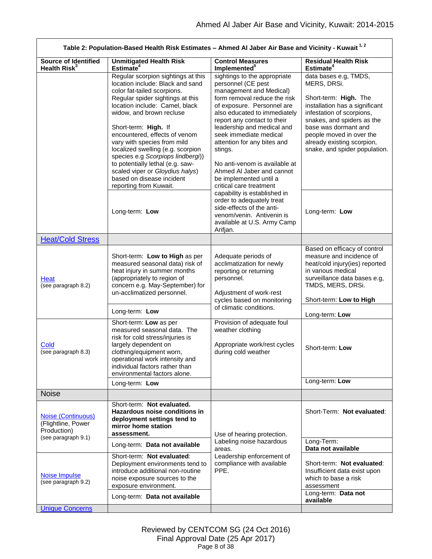| Table 2: Population-Based Health Risk Estimates - Ahmed Al Jaber Air Base and Vicinity - Kuwait <sup>1,2</sup> |                                                                                                                                                                                                                                                                                                                                                                                                                                                                                                         |                                                                                                                                                                                                                                                                                                                                                                                                                                 |                                                                                                                                                                                                                                                                               |
|----------------------------------------------------------------------------------------------------------------|---------------------------------------------------------------------------------------------------------------------------------------------------------------------------------------------------------------------------------------------------------------------------------------------------------------------------------------------------------------------------------------------------------------------------------------------------------------------------------------------------------|---------------------------------------------------------------------------------------------------------------------------------------------------------------------------------------------------------------------------------------------------------------------------------------------------------------------------------------------------------------------------------------------------------------------------------|-------------------------------------------------------------------------------------------------------------------------------------------------------------------------------------------------------------------------------------------------------------------------------|
| <b>Source of Identified</b><br>Health Risk <sup>3</sup>                                                        | <b>Unmitigated Health Risk</b><br>Estimate <sup>4</sup>                                                                                                                                                                                                                                                                                                                                                                                                                                                 | <b>Control Measures</b><br>Implemented <sup>5</sup>                                                                                                                                                                                                                                                                                                                                                                             | <b>Residual Health Risk</b><br>Estimate <sup>4</sup>                                                                                                                                                                                                                          |
|                                                                                                                | Regular scorpion sightings at this<br>location include: Black and sand<br>color fat-tailed scorpions.<br>Regular spider sightings at this<br>location include: Camel, black<br>widow, and brown recluse<br>Short-term: High. If<br>encountered, effects of venom<br>vary with species from mild<br>localized swelling (e.g. scorpion<br>species e.g Scorpiops lindbergi))<br>to potentially lethal (e.g. saw-<br>scaled viper or Gloydius halys)<br>based on disease incident<br>reporting from Kuwait. | sightings to the appropriate<br>personnel (CE pest<br>management and Medical)<br>form removal reduce the risk<br>of exposure. Personnel are<br>also educated to immediately<br>report any contact to their<br>leadership and medical and<br>seek immediate medical<br>attention for any bites and<br>stings.<br>No anti-venom is available at<br>Ahmed Al Jaber and cannot<br>be implemented until a<br>critical care treatment | data bases e.g, TMDS,<br>MERS, DRSi.<br>Short-term: High. The<br>installation has a significant<br>infestation of scorpions,<br>snakes, and spiders as the<br>base was dormant and<br>people moved in over the<br>already existing scorpion,<br>snake, and spider population. |
|                                                                                                                | Long-term: Low                                                                                                                                                                                                                                                                                                                                                                                                                                                                                          | capability is established in<br>order to adequately treat<br>side-effects of the anti-<br>venom/venin. Antivenin is<br>available at U.S. Army Camp<br>Arifjan.                                                                                                                                                                                                                                                                  | Long-term: Low                                                                                                                                                                                                                                                                |
| <b>Heat/Cold Stress</b>                                                                                        |                                                                                                                                                                                                                                                                                                                                                                                                                                                                                                         |                                                                                                                                                                                                                                                                                                                                                                                                                                 |                                                                                                                                                                                                                                                                               |
| Heat<br>(see paragraph 8.2)                                                                                    | Short-term: Low to High as per<br>Adequate periods of<br>measured seasonal data) risk of<br>acclimatization for newly<br>heat injury in summer months<br>reporting or returning<br>(appropriately to region of<br>personnel.<br>concern e.g. May-September) for<br>un-acclimatized personnel.<br>Adjustment of work-rest<br>cycles based on monitoring                                                                                                                                                  | of climatic conditions.                                                                                                                                                                                                                                                                                                                                                                                                         | Based on efficacy of control<br>measure and incidence of<br>heat/cold injury(ies) reported<br>in various medical<br>surveillance data bases e.g,<br>TMDS, MERS, DRSi.<br>Short-term: Low to High                                                                              |
|                                                                                                                | Long-term: Low                                                                                                                                                                                                                                                                                                                                                                                                                                                                                          |                                                                                                                                                                                                                                                                                                                                                                                                                                 | Long-term: Low                                                                                                                                                                                                                                                                |
| Cold<br>(see paragraph 8.3)                                                                                    | Short-term: Low as per<br>measured seasonal data. The<br>risk for cold stress/injuries is<br>largely dependent on<br>clothing/equipment worn,<br>operational work intensity and<br>individual factors rather than<br>environmental factors alone.                                                                                                                                                                                                                                                       | Provision of adequate foul<br>weather clothing<br>Appropriate work/rest cycles<br>during cold weather                                                                                                                                                                                                                                                                                                                           | Short-term: Low                                                                                                                                                                                                                                                               |
|                                                                                                                | Long-term: Low                                                                                                                                                                                                                                                                                                                                                                                                                                                                                          |                                                                                                                                                                                                                                                                                                                                                                                                                                 | Long-term: Low                                                                                                                                                                                                                                                                |
| <b>Noise</b>                                                                                                   |                                                                                                                                                                                                                                                                                                                                                                                                                                                                                                         |                                                                                                                                                                                                                                                                                                                                                                                                                                 |                                                                                                                                                                                                                                                                               |
| Noise (Continuous)<br>(Flightline, Power<br>Production)<br>(see paragraph 9.1)                                 | Short-term: Not evaluated.<br>Hazardous noise conditions in<br>deployment settings tend to<br>mirror home station<br>assessment.                                                                                                                                                                                                                                                                                                                                                                        | Use of hearing protection.                                                                                                                                                                                                                                                                                                                                                                                                      | Short-Term: Not evaluated:<br>Long-Term:                                                                                                                                                                                                                                      |
|                                                                                                                | Long-term: Data not available                                                                                                                                                                                                                                                                                                                                                                                                                                                                           | Labeling noise hazardous<br>areas.                                                                                                                                                                                                                                                                                                                                                                                              | Data not available                                                                                                                                                                                                                                                            |
| <b>Noise Impulse</b><br>(see paragraph 9.2)                                                                    | Short-term: Not evaluated:<br>Deployment environments tend to<br>introduce additional non-routine<br>noise exposure sources to the<br>exposure environment.                                                                                                                                                                                                                                                                                                                                             | Leadership enforcement of<br>compliance with available<br>PPE.                                                                                                                                                                                                                                                                                                                                                                  | Short-term: Not evaluated:<br>Insufficient data exist upon<br>which to base a risk<br>assessment<br>Long-term: Data not                                                                                                                                                       |
|                                                                                                                | Long-term: Data not available                                                                                                                                                                                                                                                                                                                                                                                                                                                                           |                                                                                                                                                                                                                                                                                                                                                                                                                                 | available                                                                                                                                                                                                                                                                     |
| <b>Unique Concerns</b>                                                                                         |                                                                                                                                                                                                                                                                                                                                                                                                                                                                                                         |                                                                                                                                                                                                                                                                                                                                                                                                                                 |                                                                                                                                                                                                                                                                               |

 $\overline{1}$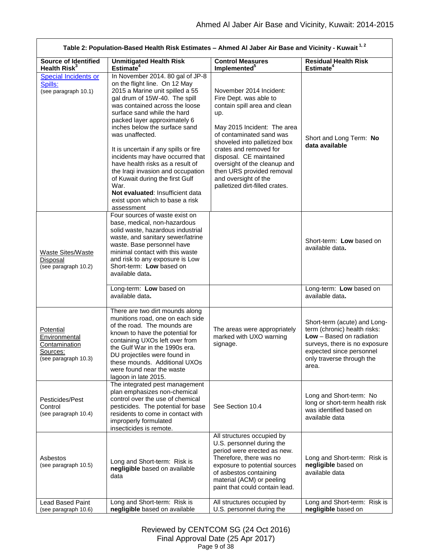| Table 2: Population-Based Health Risk Estimates - Ahmed Al Jaber Air Base and Vicinity - Kuwait <sup>1,2</sup> |                                                                                                                                                                                                                                                                                                                                                                                                                                                                                                                                                                                  |                                                                                                                                                                                                                                                                                                                                                                 |                                                                                                                                                                                             |
|----------------------------------------------------------------------------------------------------------------|----------------------------------------------------------------------------------------------------------------------------------------------------------------------------------------------------------------------------------------------------------------------------------------------------------------------------------------------------------------------------------------------------------------------------------------------------------------------------------------------------------------------------------------------------------------------------------|-----------------------------------------------------------------------------------------------------------------------------------------------------------------------------------------------------------------------------------------------------------------------------------------------------------------------------------------------------------------|---------------------------------------------------------------------------------------------------------------------------------------------------------------------------------------------|
| <b>Source of Identified</b><br>Health Risk <sup>3</sup>                                                        | <b>Unmitigated Health Risk</b><br>Estimate <sup>4</sup>                                                                                                                                                                                                                                                                                                                                                                                                                                                                                                                          | <b>Control Measures</b><br>Implemented <sup>5</sup>                                                                                                                                                                                                                                                                                                             | <b>Residual Health Risk</b><br>Estimate <sup>4</sup>                                                                                                                                        |
| <b>Special Incidents or</b><br>Spills:<br>(see paragraph 10.1)                                                 | In November 2014. 80 gal of JP-8<br>on the flight line. On 12 May<br>2015 a Marine unit spilled a 55<br>gal drum of 15W-40. The spill<br>was contained across the loose<br>surface sand while the hard<br>packed layer approximately 6<br>inches below the surface sand<br>was unaffected.<br>It is uncertain if any spills or fire<br>incidents may have occurred that<br>have health risks as a result of<br>the Iraqi invasion and occupation<br>of Kuwait during the first Gulf<br>War.<br>Not evaluated: Insufficient data<br>exist upon which to base a risk<br>assessment | November 2014 Incident:<br>Fire Dept. was able to<br>contain spill area and clean<br>up.<br>May 2015 Incident: The area<br>of contaminated sand was<br>shoveled into palletized box<br>crates and removed for<br>disposal. CE maintained<br>oversight of the cleanup and<br>then URS provided removal<br>and oversight of the<br>palletized dirt-filled crates. | Short and Long Term: No<br>data available                                                                                                                                                   |
| <b>Waste Sites/Waste</b><br>Disposal<br>(see paragraph 10.2)                                                   | Four sources of waste exist on<br>base, medical, non-hazardous<br>solid waste, hazardous industrial<br>waste, and sanitary sewer/latrine<br>waste. Base personnel have<br>minimal contact with this waste<br>and risk to any exposure is Low<br>Short-term: Low based on<br>available data.<br>Long-term: Low based on                                                                                                                                                                                                                                                           |                                                                                                                                                                                                                                                                                                                                                                 | Short-term: Low based on<br>available data.<br>Long-term: Low based on                                                                                                                      |
|                                                                                                                | available data.                                                                                                                                                                                                                                                                                                                                                                                                                                                                                                                                                                  |                                                                                                                                                                                                                                                                                                                                                                 | available data.                                                                                                                                                                             |
| Potential<br>Environmental<br>Contamination<br>Sources:<br>(see paragraph 10.3)                                | There are two dirt mounds along<br>munitions road, one on each side<br>of the road. The mounds are<br>known to have the potential for<br>containing UXOs left over from<br>the Gulf War in the 1990s era.<br>DU projectiles were found in<br>these mounds. Additional UXOs<br>were found near the waste<br>lagoon in late 2015.                                                                                                                                                                                                                                                  | The areas were appropriately<br>marked with UXO warning<br>signage.                                                                                                                                                                                                                                                                                             | Short-term (acute) and Long-<br>term (chronic) health risks:<br>Low - Based on radiation<br>surveys, there is no exposure<br>expected since personnel<br>only traverse through the<br>area. |
| Pesticides/Pest<br>Control<br>(see paragraph 10.4)                                                             | The integrated pest management<br>plan emphasizes non-chemical<br>control over the use of chemical<br>pesticides. The potential for base<br>residents to come in contact with<br>improperly formulated<br>insecticides is remote.                                                                                                                                                                                                                                                                                                                                                | See Section 10.4                                                                                                                                                                                                                                                                                                                                                | Long and Short-term: No<br>long or short-term health risk<br>was identified based on<br>available data                                                                                      |
| Asbestos<br>(see paragraph 10.5)                                                                               | Long and Short-term: Risk is<br>negligible based on available<br>data                                                                                                                                                                                                                                                                                                                                                                                                                                                                                                            | All structures occupied by<br>U.S. personnel during the<br>period were erected as new.<br>Therefore, there was no<br>exposure to potential sources<br>of asbestos containing<br>material (ACM) or peeling<br>paint that could contain lead.                                                                                                                     | Long and Short-term: Risk is<br>negligible based on<br>available data                                                                                                                       |
| Lead Based Paint<br>(see paragraph 10.6)                                                                       | Long and Short-term: Risk is<br>negligible based on available                                                                                                                                                                                                                                                                                                                                                                                                                                                                                                                    | All structures occupied by<br>U.S. personnel during the                                                                                                                                                                                                                                                                                                         | Long and Short-term: Risk is<br>negligible based on                                                                                                                                         |

Г

Reviewed by CENTCOM SG (24 Oct 2016) Final Approval Date (25 Apr 2017) Page 9 of 38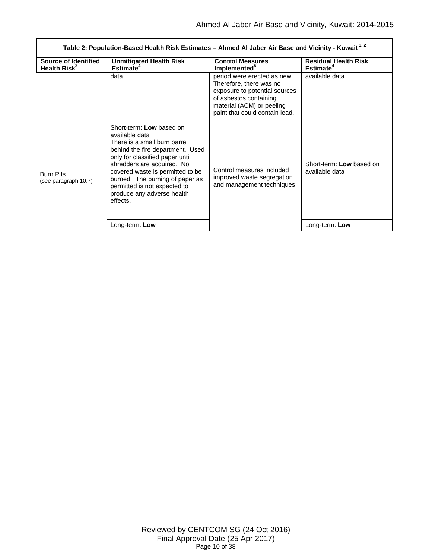| Table 2: Population-Based Health Risk Estimates - Ahmed Al Jaber Air Base and Vicinity - Kuwait <sup>1,2</sup> |                                                                                                                                                                                                                                                                                                                                  |                                                                                                                                                                                  |                                                      |
|----------------------------------------------------------------------------------------------------------------|----------------------------------------------------------------------------------------------------------------------------------------------------------------------------------------------------------------------------------------------------------------------------------------------------------------------------------|----------------------------------------------------------------------------------------------------------------------------------------------------------------------------------|------------------------------------------------------|
| Source of Identified<br>Health Risk <sup>3</sup>                                                               | <b>Unmitigated Health Risk</b><br>Estimate <sup>4</sup>                                                                                                                                                                                                                                                                          | <b>Control Measures</b><br>Implemented <sup>5</sup>                                                                                                                              | <b>Residual Health Risk</b><br>Estimate <sup>4</sup> |
|                                                                                                                | data                                                                                                                                                                                                                                                                                                                             | period were erected as new.<br>Therefore, there was no<br>exposure to potential sources<br>of asbestos containing<br>material (ACM) or peeling<br>paint that could contain lead. | available data                                       |
| <b>Burn Pits</b><br>(see paragraph 10.7)                                                                       | Short-term: Low based on<br>available data<br>There is a small burn barrel<br>behind the fire department. Used<br>only for classified paper until<br>shredders are acquired. No<br>covered waste is permitted to be<br>burned. The burning of paper as<br>permitted is not expected to<br>produce any adverse health<br>effects. | Control measures included<br>improved waste segregation<br>and management techniques.                                                                                            | Short-term: Low based on<br>available data           |
|                                                                                                                | Long-term: Low                                                                                                                                                                                                                                                                                                                   |                                                                                                                                                                                  | Long-term: Low                                       |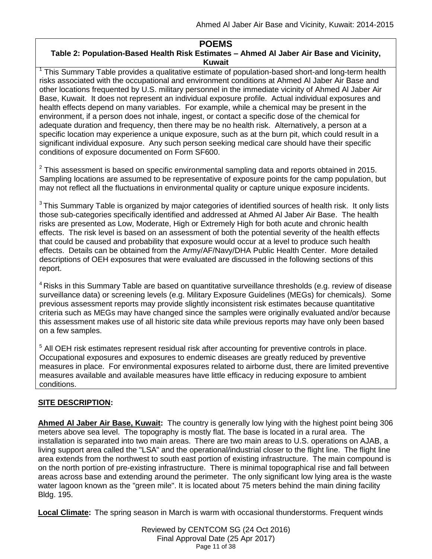#### **POEMS Table 2: Population-Based Health Risk Estimates – Ahmed Al Jaber Air Base and Vicinity, Kuwait**

 $1$  This Summary Table provides a qualitative estimate of population-based short-and long-term health risks associated with the occupational and environment conditions at Ahmed Al Jaber Air Base and other locations frequented by U.S. military personnel in the immediate vicinity of Ahmed Al Jaber Air Base, Kuwait. It does not represent an individual exposure profile. Actual individual exposures and health effects depend on many variables. For example, while a chemical may be present in the environment, if a person does not inhale, ingest, or contact a specific dose of the chemical for adequate duration and frequency, then there may be no health risk. Alternatively, a person at a specific location may experience a unique exposure, such as at the burn pit, which could result in a significant individual exposure. Any such person seeking medical care should have their specific conditions of exposure documented on Form SF600.

 $2$  This assessment is based on specific environmental sampling data and reports obtained in 2015. Sampling locations are assumed to be representative of exposure points for the camp population, but may not reflect all the fluctuations in environmental quality or capture unique exposure incidents.

 $3$ This Summary Table is organized by major categories of identified sources of health risk. It only lists those sub-categories specifically identified and addressed at Ahmed Al Jaber Air Base. The health risks are presented as Low, Moderate, High or Extremely High for both acute and chronic health effects. The risk level is based on an assessment of both the potential severity of the health effects that could be caused and probability that exposure would occur at a level to produce such health effects. Details can be obtained from the Army/AF/Navy/DHA Public Health Center. More detailed descriptions of OEH exposures that were evaluated are discussed in the following sections of this report.

<sup>4</sup> Risks in this Summary Table are based on quantitative surveillance thresholds (e.g. review of disease surveillance data) or screening levels (e.g. Military Exposure Guidelines (MEGs) for chemicals*).* Some previous assessment reports may provide slightly inconsistent risk estimates because quantitative criteria such as MEGs may have changed since the samples were originally evaluated and/or because this assessment makes use of all historic site data while previous reports may have only been based on a few samples.

<sup>5</sup> All OEH risk estimates represent residual risk after accounting for preventive controls in place. Occupational exposures and exposures to endemic diseases are greatly reduced by preventive measures in place. For environmental exposures related to airborne dust, there are limited preventive measures available and available measures have little efficacy in reducing exposure to ambient conditions.

# **SITE DESCRIPTION:**

**Ahmed Al Jaber Air Base, Kuwait:** The country is generally low lying with the highest point being 306 meters above sea level. The topography is mostly flat. The base is located in a rural area. The installation is separated into two main areas. There are two main areas to U.S. operations on AJAB, a living support area called the "LSA" and the operational/industrial closer to the flight line. The flight line area extends from the northwest to south east portion of existing infrastructure. The main compound is on the north portion of pre-existing infrastructure. There is minimal topographical rise and fall between areas across base and extending around the perimeter. The only significant low lying area is the waste water lagoon known as the "green mile". It is located about 75 meters behind the main dining facility Bldg. 195.

**Local Climate:** The spring season in March is warm with occasional thunderstorms. Frequent winds

Reviewed by CENTCOM SG (24 Oct 2016) Final Approval Date (25 Apr 2017) Page 11 of 38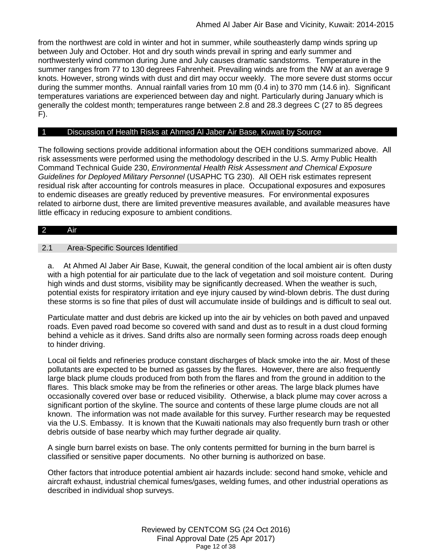from the northwest are cold in winter and hot in summer, while southeasterly damp winds spring up between July and October. Hot and dry south winds prevail in spring and early summer and northwesterly wind common during June and July causes dramatic sandstorms. Temperature in the summer ranges from 77 to 130 degrees Fahrenheit. Prevailing winds are from the NW at an average 9 knots. However, strong winds with dust and dirt may occur weekly. The more severe dust storms occur during the summer months. Annual rainfall varies from 10 mm (0.4 in) to 370 mm (14.6 in). Significant temperatures variations are experienced between day and night. Particularly during January which is generally the coldest month; temperatures range between 2.8 and 28.3 degrees C (27 to 85 degrees F).

## 1 Discussion of Health Risks at Ahmed Al Jaber Air Base, Kuwait by Source

The following sections provide additional information about the OEH conditions summarized above. All risk assessments were performed using the methodology described in the U.S. Army Public Health Command Technical Guide 230, *Environmental Health Risk Assessment and Chemical Exposure Guidelines for Deployed Military Personnel* (USAPHC TG 230). All OEH risk estimates represent residual risk after accounting for controls measures in place. Occupational exposures and exposures to endemic diseases are greatly reduced by preventive measures. For environmental exposures related to airborne dust, there are limited preventive measures available, and available measures have little efficacy in reducing exposure to ambient conditions.

## 2 Air

## 2.1 Area-Specific Sources Identified

a. At Ahmed Al Jaber Air Base, Kuwait, the general condition of the local ambient air is often dusty with a high potential for air particulate due to the lack of vegetation and soil moisture content. During high winds and dust storms, visibility may be significantly decreased. When the weather is such, potential exists for respiratory irritation and eye injury caused by wind-blown debris. The dust during these storms is so fine that piles of dust will accumulate inside of buildings and is difficult to seal out.

Particulate matter and dust debris are kicked up into the air by vehicles on both paved and unpaved roads. Even paved road become so covered with sand and dust as to result in a dust cloud forming behind a vehicle as it drives. Sand drifts also are normally seen forming across roads deep enough to hinder driving.

Local oil fields and refineries produce constant discharges of black smoke into the air. Most of these pollutants are expected to be burned as gasses by the flares. However, there are also frequently large black plume clouds produced from both from the flares and from the ground in addition to the flares. This black smoke may be from the refineries or other areas. The large black plumes have occasionally covered over base or reduced visibility. Otherwise, a black plume may cover across a significant portion of the skyline. The source and contents of these large plume clouds are not all known. The information was not made available for this survey. Further research may be requested via the U.S. Embassy. It is known that the Kuwaiti nationals may also frequently burn trash or other debris outside of base nearby which may further degrade air quality.

A single burn barrel exists on base. The only contents permitted for burning in the burn barrel is classified or sensitive paper documents. No other burning is authorized on base.

Other factors that introduce potential ambient air hazards include: second hand smoke, vehicle and aircraft exhaust, industrial chemical fumes/gases, welding fumes, and other industrial operations as described in individual shop surveys.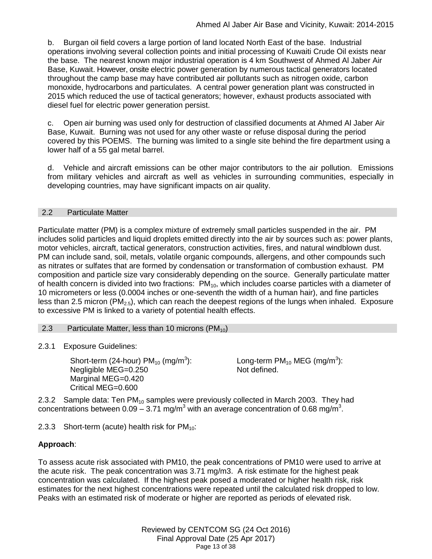b. Burgan oil field covers a large portion of land located North East of the base. Industrial operations involving several collection points and initial processing of Kuwaiti Crude Oil exists near the base. The nearest known major industrial operation is 4 km Southwest of Ahmed Al Jaber Air Base, Kuwait. However, onsite electric power generation by numerous tactical generators located throughout the camp base may have contributed air pollutants such as nitrogen oxide, carbon monoxide, hydrocarbons and particulates. A central power generation plant was constructed in 2015 which reduced the use of tactical generators; however, exhaust products associated with diesel fuel for electric power generation persist.

c. Open air burning was used only for destruction of classified documents at Ahmed Al Jaber Air Base, Kuwait. Burning was not used for any other waste or refuse disposal during the period covered by this POEMS. The burning was limited to a single site behind the fire department using a lower half of a 55 gal metal barrel.

d. Vehicle and aircraft emissions can be other major contributors to the air pollution. Emissions from military vehicles and aircraft as well as vehicles in surrounding communities, especially in developing countries, may have significant impacts on air quality.

# 2.2 Particulate Matter

Particulate matter (PM) is a complex mixture of extremely small particles suspended in the air. PM includes solid particles and liquid droplets emitted directly into the air by sources such as: power plants, motor vehicles, aircraft, tactical generators, construction activities, fires, and natural windblown dust. PM can include sand, soil, metals, volatile organic compounds, allergens, and other compounds such as nitrates or sulfates that are formed by condensation or transformation of combustion exhaust. PM composition and particle size vary considerably depending on the source. Generally particulate matter of health concern is divided into two fractions:  $PM_{10}$ , which includes coarse particles with a diameter of 10 micrometers or less (0.0004 inches or one-seventh the width of a human hair), and fine particles less than 2.5 micron ( $PM_{2.5}$ ), which can reach the deepest regions of the lungs when inhaled. Exposure to excessive PM is linked to a variety of potential health effects.

# 2.3 Particulate Matter, less than 10 microns  $(PM_{10})$

2.3.1 Exposure Guidelines:

<span id="page-12-0"></span>Short-term (24-hour)  $PM_{10}$  (mg/m<sup>3</sup>): Negligible MEG=0.250 Marginal MEG=0.420 Critical MEG=0.600

Long-term PM $_{10}$  MEG (mg/m $^3$ ): Not defined.

2.3.2 Sample data: Ten  $PM_{10}$  samples were previously collected in March 2003. They had concentrations between 0.09 – 3.71 mg/m<sup>3</sup> with an average concentration of 0.68 mg/m<sup>3</sup>.

2.3.3 Short-term (acute) health risk for  $PM_{10}$ :

# **Approach**:

To assess acute risk associated with PM10, the peak concentrations of PM10 were used to arrive at the acute risk. The peak concentration was 3.71 mg/m3. A risk estimate for the highest peak concentration was calculated. If the highest peak posed a moderated or higher health risk, risk estimates for the next highest concentrations were repeated until the calculated risk dropped to low. Peaks with an estimated risk of moderate or higher are reported as periods of elevated risk.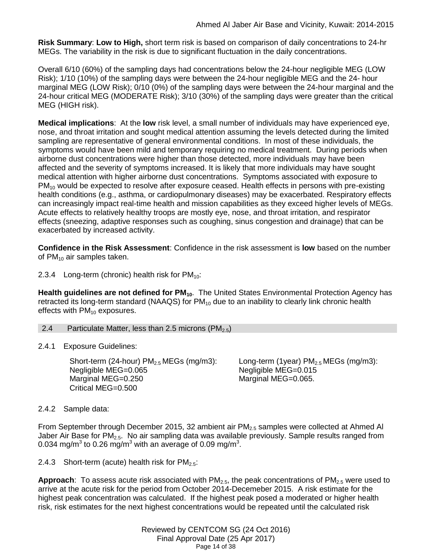**Risk Summary**: **Low to High,** short term risk is based on comparison of daily concentrations to 24-hr MEGs. The variability in the risk is due to significant fluctuation in the daily concentrations.

Overall 6/10 (60%) of the sampling days had concentrations below the 24-hour negligible MEG (LOW Risk); 1/10 (10%) of the sampling days were between the 24-hour negligible MEG and the 24- hour marginal MEG (LOW Risk); 0/10 (0%) of the sampling days were between the 24-hour marginal and the 24-hour critical MEG (MODERATE Risk); 3/10 (30%) of the sampling days were greater than the critical MEG (HIGH risk).

**Medical implications**: At the **low** risk level, a small number of individuals may have experienced eye, nose, and throat irritation and sought medical attention assuming the levels detected during the limited sampling are representative of general environmental conditions. In most of these individuals, the symptoms would have been mild and temporary requiring no medical treatment. During periods when airborne dust concentrations were higher than those detected, more individuals may have been affected and the severity of symptoms increased. It is likely that more individuals may have sought medical attention with higher airborne dust concentrations. Symptoms associated with exposure to  $PM_{10}$  would be expected to resolve after exposure ceased. Health effects in persons with pre-existing health conditions (e.g., asthma, or cardiopulmonary diseases) may be exacerbated. Respiratory effects can increasingly impact real-time health and mission capabilities as they exceed higher levels of MEGs. Acute effects to relatively healthy troops are mostly eye, nose, and throat irritation, and respirator effects (sneezing, adaptive responses such as coughing, sinus congestion and drainage) that can be exacerbated by increased activity.

**Confidence in the Risk Assessment**: Confidence in the risk assessment is **low** based on the number of  $PM_{10}$  air samples taken.

2.3.4 Long-term (chronic) health risk for  $PM_{10}$ :

**Health guidelines are not defined for PM10**. The United States Environmental Protection Agency has retracted its long-term standard (NAAQS) for  $PM_{10}$  due to an inability to clearly link chronic health effects with  $PM_{10}$  exposures.

<span id="page-13-0"></span>2.4 Particulate Matter, less than 2.5 microns  $(PM_{2.5})$ 

2.4.1 Exposure Guidelines:

Short-term (24-hour)  $PM<sub>2.5</sub> MEGs$  (mg/m3): Negligible MEG=0.065 Marginal MEG=0.250 Critical MEG=0.500

Long-term (1year)  $PM<sub>2.5</sub> MEGs$  (mg/m3): Negligible MEG=0.015 Marginal MEG=0.065.

# 2.4.2 Sample data:

From September through December 2015, 32 ambient air PM<sub>2.5</sub> samples were collected at Ahmed Al Jaber Air Base for  $PM<sub>2.5</sub>$ . No air sampling data was available previously. Sample results ranged from 0.034 mg/m<sup>3</sup> to 0.26 mg/m<sup>3</sup> with an average of 0.09 mg/m<sup>3</sup>.

2.4.3 Short-term (acute) health risk for  $PM_{2.5}$ :

**Approach**: To assess acute risk associated with PM<sub>2.5</sub>, the peak concentrations of PM<sub>2.5</sub> were used to arrive at the acute risk for the period from October 2014-Decemeber 2015. A risk estimate for the highest peak concentration was calculated. If the highest peak posed a moderated or higher health risk, risk estimates for the next highest concentrations would be repeated until the calculated risk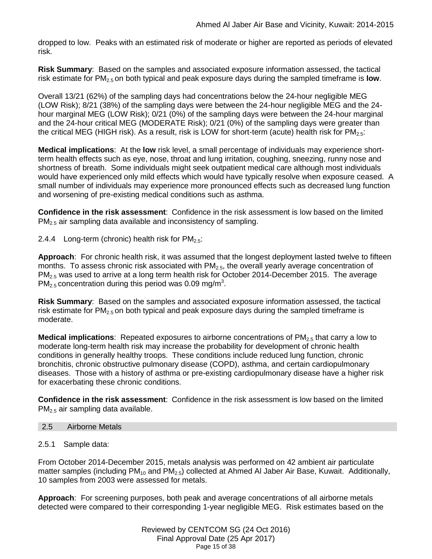dropped to low. Peaks with an estimated risk of moderate or higher are reported as periods of elevated risk.

**Risk Summary**: Based on the samples and associated exposure information assessed, the tactical risk estimate for PM2.5 on both typical and peak exposure days during the sampled timeframe is **low**.

Overall 13/21 (62%) of the sampling days had concentrations below the 24-hour negligible MEG (LOW Risk); 8/21 (38%) of the sampling days were between the 24-hour negligible MEG and the 24 hour marginal MEG (LOW Risk); 0/21 (0%) of the sampling days were between the 24-hour marginal and the 24-hour critical MEG (MODERATE Risk); 0/21 (0%) of the sampling days were greater than the critical MEG (HIGH risk). As a result, risk is LOW for short-term (acute) health risk for  $PM_{2.5}$ :

**Medical implications**: At the **low** risk level, a small percentage of individuals may experience shortterm health effects such as eye, nose, throat and lung irritation, coughing, sneezing, runny nose and shortness of breath. Some individuals might seek outpatient medical care although most individuals would have experienced only mild effects which would have typically resolve when exposure ceased. A small number of individuals may experience more pronounced effects such as decreased lung function and worsening of pre-existing medical conditions such as asthma.

**Confidence in the risk assessment**: Confidence in the risk assessment is low based on the limited PM<sub>2.5</sub> air sampling data available and inconsistency of sampling.

2.4.4 Long-term (chronic) health risk for  $PM_{2.5}$ :

**Approach**: For chronic health risk, it was assumed that the longest deployment lasted twelve to fifteen months. To assess chronic risk associated with  $PM<sub>2.5</sub>$ , the overall yearly average concentration of  $PM<sub>2.5</sub>$  was used to arrive at a long term health risk for October 2014-December 2015. The average  $PM_{2.5}$  concentration during this period was 0.09 mg/m<sup>3</sup>.

**Risk Summary**: Based on the samples and associated exposure information assessed, the tactical risk estimate for  $PM<sub>2.5</sub>$  on both typical and peak exposure days during the sampled timeframe is moderate.

**Medical implications**: Repeated exposures to airborne concentrations of PM<sub>2.5</sub> that carry a low to moderate long-term health risk may increase the probability for development of chronic health conditions in generally healthy troops. These conditions include reduced lung function, chronic bronchitis, chronic obstructive pulmonary disease (COPD), asthma, and certain cardiopulmonary diseases. Those with a history of asthma or pre-existing cardiopulmonary disease have a higher risk for exacerbating these chronic conditions.

**Confidence in the risk assessment**: Confidence in the risk assessment is low based on the limited PM2.5 air sampling data available.

# <span id="page-14-0"></span>2.5 Airborne Metals

2.5.1 Sample data:

From October 2014-December 2015, metals analysis was performed on 42 ambient air particulate matter samples (including  $PM_{10}$  and  $PM_{2.5}$ ) collected at Ahmed Al Jaber Air Base, Kuwait. Additionally, 10 samples from 2003 were assessed for metals.

**Approach**: For screening purposes, both peak and average concentrations of all airborne metals detected were compared to their corresponding 1-year negligible MEG. Risk estimates based on the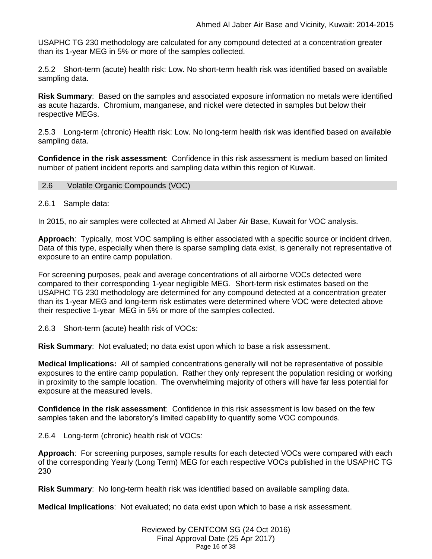USAPHC TG 230 methodology are calculated for any compound detected at a concentration greater than its 1-year MEG in 5% or more of the samples collected.

2.5.2 Short-term (acute) health risk: Low. No short-term health risk was identified based on available sampling data.

**Risk Summary**: Based on the samples and associated exposure information no metals were identified as acute hazards. Chromium, manganese, and nickel were detected in samples but below their respective MEGs.

2.5.3 Long-term (chronic) Health risk: Low. No long-term health risk was identified based on available sampling data.

**Confidence in the risk assessment**: Confidence in this risk assessment is medium based on limited number of patient incident reports and sampling data within this region of Kuwait.

<span id="page-15-0"></span>2.6 Volatile Organic Compounds (VOC)

# 2.6.1 Sample data:

In 2015, no air samples were collected at Ahmed Al Jaber Air Base, Kuwait for VOC analysis.

**Approach**: Typically, most VOC sampling is either associated with a specific source or incident driven. Data of this type, especially when there is sparse sampling data exist, is generally not representative of exposure to an entire camp population.

For screening purposes, peak and average concentrations of all airborne VOCs detected were compared to their corresponding 1-year negligible MEG. Short-term risk estimates based on the USAPHC TG 230 methodology are determined for any compound detected at a concentration greater than its 1-year MEG and long-term risk estimates were determined where VOC were detected above their respective 1-year MEG in 5% or more of the samples collected.

2.6.3 Short-term (acute) health risk of VOCs*:* 

**Risk Summary**: Not evaluated; no data exist upon which to base a risk assessment.

**Medical Implications:** All of sampled concentrations generally will not be representative of possible exposures to the entire camp population. Rather they only represent the population residing or working in proximity to the sample location. The overwhelming majority of others will have far less potential for exposure at the measured levels.

**Confidence in the risk assessment**: Confidence in this risk assessment is low based on the few samples taken and the laboratory's limited capability to quantify some VOC compounds.

2.6.4 Long-term (chronic) health risk of VOCs*:* 

**Approach**: For screening purposes, sample results for each detected VOCs were compared with each of the corresponding Yearly (Long Term) MEG for each respective VOCs published in the USAPHC TG 230

**Risk Summary**: No long-term health risk was identified based on available sampling data.

**Medical Implications**: Not evaluated; no data exist upon which to base a risk assessment.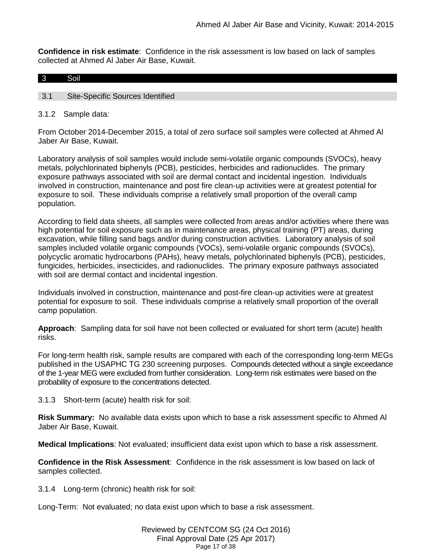**Confidence in risk estimate**: Confidence in the risk assessment is low based on lack of samples collected at Ahmed Al Jaber Air Base, Kuwait.

# <span id="page-16-0"></span>3 Soil

## 3.1 Site-Specific Sources Identified

## 3.1.2 Sample data*:*

From October 2014-December 2015, a total of zero surface soil samples were collected at Ahmed Al Jaber Air Base, Kuwait.

Laboratory analysis of soil samples would include semi-volatile organic compounds (SVOCs), heavy metals, polychlorinated biphenyls (PCB), pesticides, herbicides and radionuclides. The primary exposure pathways associated with soil are dermal contact and incidental ingestion. Individuals involved in construction, maintenance and post fire clean-up activities were at greatest potential for exposure to soil. These individuals comprise a relatively small proportion of the overall camp population.

According to field data sheets, all samples were collected from areas and/or activities where there was high potential for soil exposure such as in maintenance areas, physical training (PT) areas, during excavation, while filling sand bags and/or during construction activities. Laboratory analysis of soil samples included volatile organic compounds (VOCs), semi-volatile organic compounds (SVOCs), polycyclic aromatic hydrocarbons (PAHs), heavy metals, polychlorinated biphenyls (PCB), pesticides, fungicides, herbicides, insecticides, and radionuclides. The primary exposure pathways associated with soil are dermal contact and incidental ingestion.

Individuals involved in construction, maintenance and post-fire clean-up activities were at greatest potential for exposure to soil. These individuals comprise a relatively small proportion of the overall camp population.

**Approach**: Sampling data for soil have not been collected or evaluated for short term (acute) health risks.

For long-term health risk, sample results are compared with each of the corresponding long-term MEGs published in the USAPHC TG 230 screening purposes. Compounds detected without a single exceedance of the 1-year MEG were excluded from further consideration. Long-term risk estimates were based on the probability of exposure to the concentrations detected.

3.1.3 Short-term (acute) health risk for soil:

**Risk Summary:** No available data exists upon which to base a risk assessment specific to Ahmed Al Jaber Air Base, Kuwait.

**Medical Implications**: Not evaluated; insufficient data exist upon which to base a risk assessment.

**Confidence in the Risk Assessment**: Confidence in the risk assessment is low based on lack of samples collected.

3.1.4 Long-term (chronic) health risk for soil:

Long-Term: Not evaluated; no data exist upon which to base a risk assessment.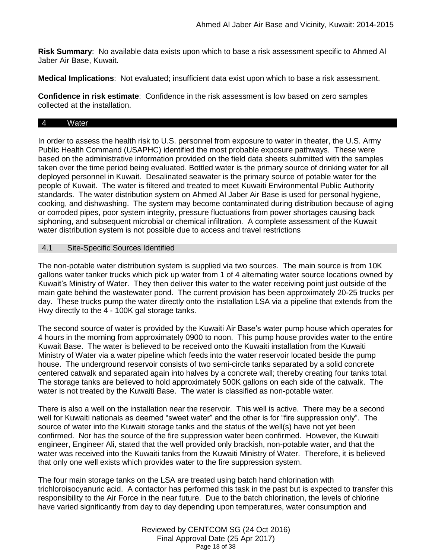**Risk Summary**: No available data exists upon which to base a risk assessment specific to Ahmed Al Jaber Air Base, Kuwait.

**Medical Implications**: Not evaluated; insufficient data exist upon which to base a risk assessment.

**Confidence in risk estimate**: Confidence in the risk assessment is low based on zero samples collected at the installation.

#### <span id="page-17-0"></span>4 Water

In order to assess the health risk to U.S. personnel from exposure to water in theater, the U.S. Army Public Health Command (USAPHC) identified the most probable exposure pathways. These were based on the administrative information provided on the field data sheets submitted with the samples taken over the time period being evaluated. Bottled water is the primary source of drinking water for all deployed personnel in Kuwait. Desalinated seawater is the primary source of potable water for the people of Kuwait. The water is filtered and treated to meet Kuwaiti Environmental Public Authority standards. The water distribution system on Ahmed Al Jaber Air Base is used for personal hygiene, cooking, and dishwashing. The system may become contaminated during distribution because of aging or corroded pipes, poor system integrity, pressure fluctuations from power shortages causing back siphoning, and subsequent microbial or chemical infiltration. A complete assessment of the Kuwait water distribution system is not possible due to access and travel restrictions

## 4.1 Site-Specific Sources Identified

The non-potable water distribution system is supplied via two sources. The main source is from 10K gallons water tanker trucks which pick up water from 1 of 4 alternating water source locations owned by Kuwait's Ministry of Water. They then deliver this water to the water receiving point just outside of the main gate behind the wastewater pond. The current provision has been approximately 20-25 trucks per day. These trucks pump the water directly onto the installation LSA via a pipeline that extends from the Hwy directly to the 4 - 100K gal storage tanks.

The second source of water is provided by the Kuwaiti Air Base's water pump house which operates for 4 hours in the morning from approximately 0900 to noon. This pump house provides water to the entire Kuwait Base. The water is believed to be received onto the Kuwaiti installation from the Kuwaiti Ministry of Water via a water pipeline which feeds into the water reservoir located beside the pump house. The underground reservoir consists of two semi-circle tanks separated by a solid concrete centered catwalk and separated again into halves by a concrete wall; thereby creating four tanks total. The storage tanks are believed to hold approximately 500K gallons on each side of the catwalk. The water is not treated by the Kuwaiti Base. The water is classified as non-potable water.

There is also a well on the installation near the reservoir. This well is active. There may be a second well for Kuwaiti nationals as deemed "sweet water" and the other is for "fire suppression only". The source of water into the Kuwaiti storage tanks and the status of the well(s) have not yet been confirmed. Nor has the source of the fire suppression water been confirmed. However, the Kuwaiti engineer, Engineer Ali, stated that the well provided only brackish, non-potable water, and that the water was received into the Kuwaiti tanks from the Kuwaiti Ministry of Water. Therefore, it is believed that only one well exists which provides water to the fire suppression system.

The four main storage tanks on the LSA are treated using batch hand chlorination with trichloroisocyanuric acid. A contactor has performed this task in the past but is expected to transfer this responsibility to the Air Force in the near future. Due to the batch chlorination, the levels of chlorine have varied significantly from day to day depending upon temperatures, water consumption and

> Reviewed by CENTCOM SG (24 Oct 2016) Final Approval Date (25 Apr 2017) Page 18 of 38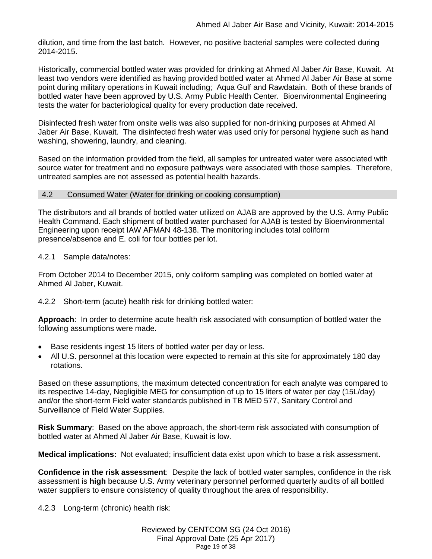dilution, and time from the last batch. However, no positive bacterial samples were collected during 2014-2015.

Historically, commercial bottled water was provided for drinking at Ahmed Al Jaber Air Base, Kuwait. At least two vendors were identified as having provided bottled water at Ahmed Al Jaber Air Base at some point during military operations in Kuwait including; Aqua Gulf and Rawdatain. Both of these brands of bottled water have been approved by U.S. Army Public Health Center. Bioenvironmental Engineering tests the water for bacteriological quality for every production date received.

Disinfected fresh water from onsite wells was also supplied for non-drinking purposes at Ahmed Al Jaber Air Base, Kuwait. The disinfected fresh water was used only for personal hygiene such as hand washing, showering, laundry, and cleaning.

Based on the information provided from the field, all samples for untreated water were associated with source water for treatment and no exposure pathways were associated with those samples. Therefore, untreated samples are not assessed as potential health hazards.

# <span id="page-18-0"></span>4.2 Consumed Water (Water for drinking or cooking consumption)

The distributors and all brands of bottled water utilized on AJAB are approved by the U.S. Army Public Health Command. Each shipment of bottled water purchased for AJAB is tested by Bioenvironmental Engineering upon receipt IAW AFMAN 48-138. The monitoring includes total coliform presence/absence and E. coli for four bottles per lot.

# 4.2.1 Sample data/notes:

From October 2014 to December 2015, only coliform sampling was completed on bottled water at Ahmed Al Jaber, Kuwait.

# 4.2.2 Short-term (acute) health risk for drinking bottled water:

**Approach**: In order to determine acute health risk associated with consumption of bottled water the following assumptions were made.

- Base residents ingest 15 liters of bottled water per day or less.
- All U.S. personnel at this location were expected to remain at this site for approximately 180 day rotations.

Based on these assumptions, the maximum detected concentration for each analyte was compared to its respective 14-day, Negligible MEG for consumption of up to 15 liters of water per day (15L/day) and/or the short-term Field water standards published in TB MED 577, Sanitary Control and Surveillance of Field Water Supplies.

**Risk Summary**: Based on the above approach, the short-term risk associated with consumption of bottled water at Ahmed Al Jaber Air Base, Kuwait is low.

**Medical implications:** Not evaluated; insufficient data exist upon which to base a risk assessment.

**Confidence in the risk assessment**: Despite the lack of bottled water samples, confidence in the risk assessment is **high** because U.S. Army veterinary personnel performed quarterly audits of all bottled water suppliers to ensure consistency of quality throughout the area of responsibility.

4.2.3 Long-term (chronic) health risk: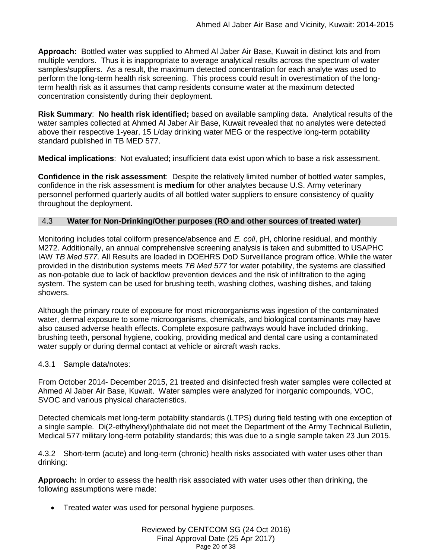**Approach:** Bottled water was supplied to Ahmed Al Jaber Air Base, Kuwait in distinct lots and from multiple vendors. Thus it is inappropriate to average analytical results across the spectrum of water samples/suppliers. As a result, the maximum detected concentration for each analyte was used to perform the long-term health risk screening. This process could result in overestimation of the longterm health risk as it assumes that camp residents consume water at the maximum detected concentration consistently during their deployment.

**Risk Summary**: **No health risk identified;** based on available sampling data. Analytical results of the water samples collected at Ahmed Al Jaber Air Base, Kuwait revealed that no analytes were detected above their respective 1-year, 15 L/day drinking water MEG or the respective long-term potability standard published in TB MED 577.

**Medical implications**: Not evaluated; insufficient data exist upon which to base a risk assessment.

**Confidence in the risk assessment**: Despite the relatively limited number of bottled water samples, confidence in the risk assessment is **medium** for other analytes because U.S. Army veterinary personnel performed quarterly audits of all bottled water suppliers to ensure consistency of quality throughout the deployment.

# <span id="page-19-0"></span>4.3 **Water for Non-Drinking/Other purposes (RO and other sources of treated water)**

Monitoring includes total coliform presence/absence and *E. coli*, pH, chlorine residual, and monthly M272. Additionally, an annual comprehensive screening analysis is taken and submitted to USAPHC IAW *TB Med 577*. All Results are loaded in DOEHRS DoD Surveillance program office. While the water provided in the distribution systems meets *TB Med 577* for water potability, the systems are classified as non-potable due to lack of backflow prevention devices and the risk of infiltration to the aging system. The system can be used for brushing teeth, washing clothes, washing dishes, and taking showers.

Although the primary route of exposure for most microorganisms was ingestion of the contaminated water, dermal exposure to some microorganisms, chemicals, and biological contaminants may have also caused adverse health effects. Complete exposure pathways would have included drinking, brushing teeth, personal hygiene, cooking, providing medical and dental care using a contaminated water supply or during dermal contact at vehicle or aircraft wash racks.

# 4.3.1 Sample data/notes:

From October 2014- December 2015, 21 treated and disinfected fresh water samples were collected at Ahmed Al Jaber Air Base, Kuwait. Water samples were analyzed for inorganic compounds, VOC, SVOC and various physical characteristics.

Detected chemicals met long-term potability standards (LTPS) during field testing with one exception of a single sample. Di(2-ethylhexyl)phthalate did not meet the Department of the Army Technical Bulletin, Medical 577 military long-term potability standards; this was due to a single sample taken 23 Jun 2015.

4.3.2 Short-term (acute) and long-term (chronic) health risks associated with water uses other than drinking:

**Approach:** In order to assess the health risk associated with water uses other than drinking, the following assumptions were made:

Treated water was used for personal hygiene purposes.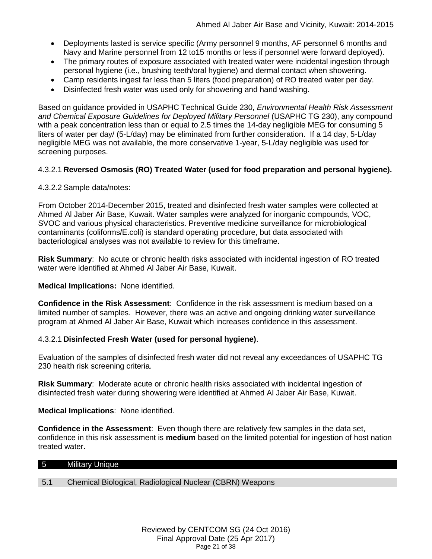- Deployments lasted is service specific (Army personnel 9 months, AF personnel 6 months and Navy and Marine personnel from 12 to15 months or less if personnel were forward deployed).
- The primary routes of exposure associated with treated water were incidental ingestion through personal hygiene (i.e., brushing teeth/oral hygiene) and dermal contact when showering.
- Camp residents ingest far less than 5 liters (food preparation) of RO treated water per day.
- Disinfected fresh water was used only for showering and hand washing.

Based on guidance provided in USAPHC Technical Guide 230, *Environmental Health Risk Assessment and Chemical Exposure Guidelines for Deployed Military Personnel* (USAPHC TG 230), any compound with a peak concentration less than or equal to 2.5 times the 14-day negligible MEG for consuming 5 liters of water per day/ (5-L/day) may be eliminated from further consideration. If a 14 day, 5-L/day negligible MEG was not available, the more conservative 1-year, 5-L/day negligible was used for screening purposes.

# 4.3.2.1 **Reversed Osmosis (RO) Treated Water (used for food preparation and personal hygiene).**

## 4.3.2.2 Sample data/notes:

From October 2014-December 2015, treated and disinfected fresh water samples were collected at Ahmed Al Jaber Air Base, Kuwait. Water samples were analyzed for inorganic compounds, VOC, SVOC and various physical characteristics. Preventive medicine surveillance for microbiological contaminants (coliforms/E.coli) is standard operating procedure, but data associated with bacteriological analyses was not available to review for this timeframe.

**Risk Summary**: No acute or chronic health risks associated with incidental ingestion of RO treated water were identified at Ahmed Al Jaber Air Base, Kuwait.

## **Medical Implications:** None identified.

**Confidence in the Risk Assessment**: Confidence in the risk assessment is medium based on a limited number of samples. However, there was an active and ongoing drinking water surveillance program at Ahmed Al Jaber Air Base, Kuwait which increases confidence in this assessment.

# 4.3.2.1 **Disinfected Fresh Water (used for personal hygiene)**.

Evaluation of the samples of disinfected fresh water did not reveal any exceedances of USAPHC TG 230 health risk screening criteria.

**Risk Summary**: Moderate acute or chronic health risks associated with incidental ingestion of disinfected fresh water during showering were identified at Ahmed Al Jaber Air Base, Kuwait.

**Medical Implications**: None identified.

**Confidence in the Assessment**: Even though there are relatively few samples in the data set, confidence in this risk assessment is **medium** based on the limited potential for ingestion of host nation treated water.

## <span id="page-20-0"></span>5 Military Unique

5.1 Chemical Biological, Radiological Nuclear (CBRN) Weapons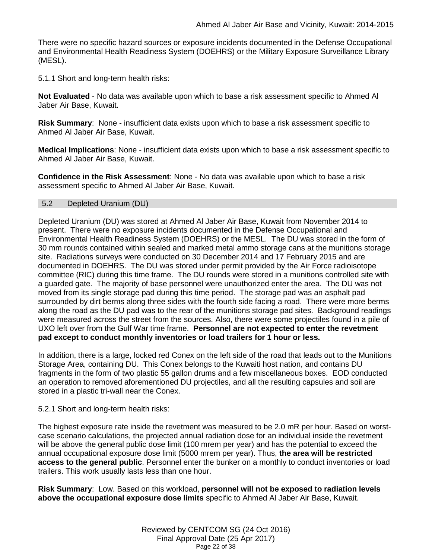There were no specific hazard sources or exposure incidents documented in the Defense Occupational and Environmental Health Readiness System (DOEHRS) or the Military Exposure Surveillance Library (MESL).

5.1.1 Short and long-term health risks:

**Not Evaluated** - No data was available upon which to base a risk assessment specific to Ahmed Al Jaber Air Base, Kuwait.

**Risk Summary**: None - insufficient data exists upon which to base a risk assessment specific to Ahmed Al Jaber Air Base, Kuwait.

**Medical Implications**: None - insufficient data exists upon which to base a risk assessment specific to Ahmed Al Jaber Air Base, Kuwait.

**Confidence in the Risk Assessment**: None - No data was available upon which to base a risk assessment specific to Ahmed Al Jaber Air Base, Kuwait.

#### 5.2 Depleted Uranium (DU)

Depleted Uranium (DU) was stored at Ahmed Al Jaber Air Base, Kuwait from November 2014 to present. There were no exposure incidents documented in the Defense Occupational and Environmental Health Readiness System (DOEHRS) or the MESL. The DU was stored in the form of 30 mm rounds contained within sealed and marked metal ammo storage cans at the munitions storage site. Radiations surveys were conducted on 30 December 2014 and 17 February 2015 and are documented in DOEHRS. The DU was stored under permit provided by the Air Force radioisotope committee (RIC) during this time frame. The DU rounds were stored in a munitions controlled site with a guarded gate. The majority of base personnel were unauthorized enter the area. The DU was not moved from its single storage pad during this time period. The storage pad was an asphalt pad surrounded by dirt berms along three sides with the fourth side facing a road. There were more berms along the road as the DU pad was to the rear of the munitions storage pad sites. Background readings were measured across the street from the sources. Also, there were some projectiles found in a pile of UXO left over from the Gulf War time frame. **Personnel are not expected to enter the revetment pad except to conduct monthly inventories or load trailers for 1 hour or less.**

In addition, there is a large, locked red Conex on the left side of the road that leads out to the Munitions Storage Area, containing DU. This Conex belongs to the Kuwaiti host nation, and contains DU fragments in the form of two plastic 55 gallon drums and a few miscellaneous boxes. EOD conducted an operation to removed aforementioned DU projectiles, and all the resulting capsules and soil are stored in a plastic tri-wall near the Conex.

#### 5.2.1 Short and long-term health risks:

The highest exposure rate inside the revetment was measured to be 2.0 mR per hour. Based on worstcase scenario calculations, the projected annual radiation dose for an individual inside the revetment will be above the general public dose limit (100 mrem per year) and has the potential to exceed the annual occupational exposure dose limit (5000 mrem per year). Thus, **the area will be restricted access to the general public**. Personnel enter the bunker on a monthly to conduct inventories or load trailers. This work usually lasts less than one hour.

**Risk Summary**: Low. Based on this workload, **personnel will not be exposed to radiation levels above the occupational exposure dose limits** specific to Ahmed Al Jaber Air Base, Kuwait.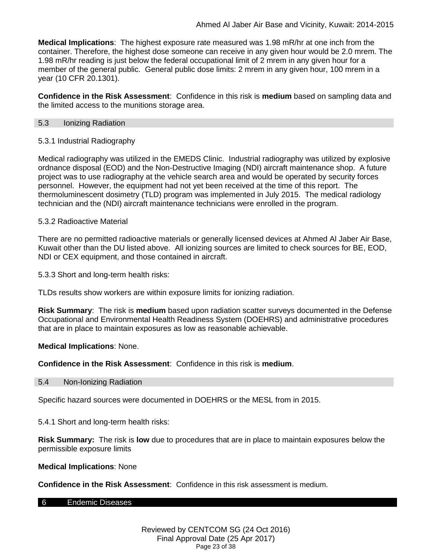**Medical Implications**: The highest exposure rate measured was 1.98 mR/hr at one inch from the container. Therefore, the highest dose someone can receive in any given hour would be 2.0 mrem. The 1.98 mR/hr reading is just below the federal occupational limit of 2 mrem in any given hour for a member of the general public. General public dose limits: 2 mrem in any given hour, 100 mrem in a year (10 CFR 20.1301).

**Confidence in the Risk Assessment**: Confidence in this risk is **medium** based on sampling data and the limited access to the munitions storage area.

## 5.3 Ionizing Radiation

# 5.3.1 Industrial Radiography

Medical radiography was utilized in the EMEDS Clinic. Industrial radiography was utilized by explosive ordnance disposal (EOD) and the Non-Destructive Imaging (NDI) aircraft maintenance shop. A future project was to use radiography at the vehicle search area and would be operated by security forces personnel. However, the equipment had not yet been received at the time of this report. The thermoluminescent dosimetry (TLD) program was implemented in July 2015. The medical radiology technician and the (NDI) aircraft maintenance technicians were enrolled in the program.

# 5.3.2 Radioactive Material

There are no permitted radioactive materials or generally licensed devices at Ahmed Al Jaber Air Base, Kuwait other than the DU listed above. All ionizing sources are limited to check sources for BE, EOD, NDI or CEX equipment, and those contained in aircraft.

5.3.3 Short and long-term health risks:

TLDs results show workers are within exposure limits for ionizing radiation.

**Risk Summary**: The risk is **medium** based upon radiation scatter surveys documented in the Defense Occupational and Environmental Health Readiness System (DOEHRS) and administrative procedures that are in place to maintain exposures as low as reasonable achievable.

# **Medical Implications**: None.

**Confidence in the Risk Assessment**: Confidence in this risk is **medium**.

## 5.4 Non-Ionizing Radiation

Specific hazard sources were documented in DOEHRS or the MESL from in 2015.

5.4.1 Short and long-term health risks:

**Risk Summary:** The risk is **low** due to procedures that are in place to maintain exposures below the permissible exposure limits

**Medical Implications**: None

**Confidence in the Risk Assessment**: Confidence in this risk assessment is medium.

6 Endemic Diseases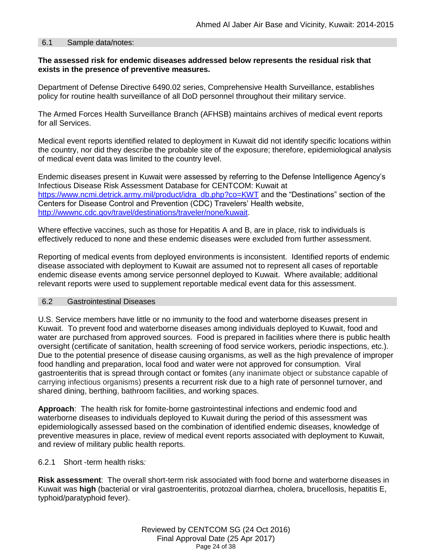## 6.1 Sample data/notes:

## **The assessed risk for endemic diseases addressed below represents the residual risk that exists in the presence of preventive measures.**

Department of Defense Directive 6490.02 series, Comprehensive Health Surveillance, establishes policy for routine health surveillance of all DoD personnel throughout their military service.

The Armed Forces Health Surveillance Branch (AFHSB) maintains archives of medical event reports for all Services.

Medical event reports identified related to deployment in Kuwait did not identify specific locations within the country, nor did they describe the probable site of the exposure; therefore, epidemiological analysis of medical event data was limited to the country level.

Endemic diseases present in Kuwait were assessed by referring to the Defense Intelligence Agency's Infectious Disease Risk Assessment Database for CENTCOM: Kuwait at [https://www.ncmi.detrick.army.mil/product/idra\\_db.php?co=KWT](https://www.ncmi.detrick.army.mil/product/idra_db.php?co=KWT) and the "Destinations" section of the Centers for Disease Control and Prevention (CDC) Travelers' Health website, [http://wwwnc.cdc.gov/travel/destinations/traveler/none/kuwait.](http://wwwnc.cdc.gov/travel/destinations/traveler/none/kuwait)

Where effective vaccines, such as those for Hepatitis A and B, are in place, risk to individuals is effectively reduced to none and these endemic diseases were excluded from further assessment.

Reporting of medical events from deployed environments is inconsistent. Identified reports of endemic disease associated with deployment to Kuwait are assumed not to represent all cases of reportable endemic disease events among service personnel deployed to Kuwait. Where available; additional relevant reports were used to supplement reportable medical event data for this assessment.

#### <span id="page-23-0"></span>6.2 Gastrointestinal Diseases

U.S. Service members have little or no immunity to the food and waterborne diseases present in Kuwait. To prevent food and waterborne diseases among individuals deployed to Kuwait, food and water are purchased from approved sources. Food is prepared in facilities where there is public health oversight (certificate of sanitation, health screening of food service workers, periodic inspections, etc.). Due to the potential presence of disease causing organisms, as well as the high prevalence of improper food handling and preparation, local food and water were not approved for consumption. Viral gastroenteritis that is spread through contact or fomites (any inanimate object or substance capable of carrying infectious organisms) presents a recurrent risk due to a high rate of personnel turnover, and shared dining, berthing, bathroom facilities, and working spaces.

**Approach**: The health risk for fomite-borne gastrointestinal infections and endemic food and waterborne diseases to individuals deployed to Kuwait during the period of this assessment was epidemiologically assessed based on the combination of identified endemic diseases, knowledge of preventive measures in place, review of medical event reports associated with deployment to Kuwait, and review of military public health reports.

## 6.2.1 Short -term health risks*:*

**Risk assessment**: The overall short-term risk associated with food borne and waterborne diseases in Kuwait was **high** (bacterial or viral gastroenteritis, protozoal diarrhea, cholera, brucellosis, hepatitis E, typhoid/paratyphoid fever).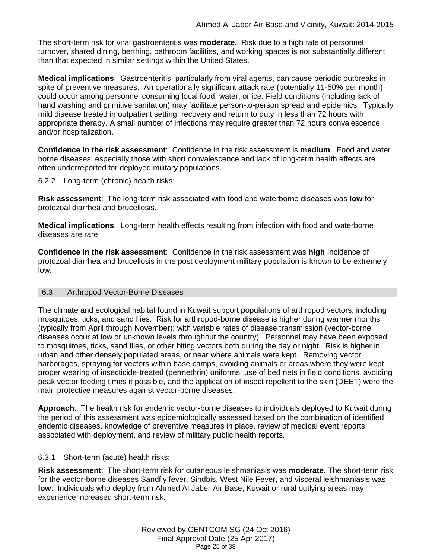The short-term risk for viral gastroenteritis was **moderate.** Risk due to a high rate of personnel turnover, shared dining, berthing, bathroom facilities, and working spaces is not substantially different than that expected in similar settings within the United States.

**Medical implications**: Gastroenteritis, particularly from viral agents, can cause periodic outbreaks in spite of preventive measures. An operationally significant attack rate (potentially 11-50% per month) could occur among personnel consuming local food, water, or ice. Field conditions (including lack of hand washing and primitive sanitation) may facilitate person-to-person spread and epidemics. Typically mild disease treated in outpatient setting; recovery and return to duty in less than 72 hours with appropriate therapy. A small number of infections may require greater than 72 hours convalescence and/or hospitalization.

**Confidence in the risk assessment**: Confidence in the risk assessment is **medium**. Food and water borne diseases, especially those with short convalescence and lack of long-term health effects are often underreported for deployed military populations.

6.2.2 Long-term (chronic) health risks:

**Risk assessment**: The long-term risk associated with food and waterborne diseases was **low** for protozoal diarrhea and brucellosis.

**Medical implications**: Long-term health effects resulting from infection with food and waterborne diseases are rare.

**Confidence in the risk assessment**: Confidence in the risk assessment was **high** Incidence of protozoal diarrhea and brucellosis in the post deployment military population is known to be extremely low.

## <span id="page-24-0"></span>6.3 Arthropod Vector-Borne Diseases

The climate and ecological habitat found in Kuwait support populations of arthropod vectors, including mosquitoes, ticks, and sand flies. Risk for arthropod-borne disease is higher during warmer months (typically from April through November); with variable rates of disease transmission (vector-borne diseases occur at low or unknown levels throughout the country). Personnel may have been exposed to mosquitoes, ticks, sand flies, or other biting vectors both during the day or night. Risk is higher in urban and other densely populated areas, or near where animals were kept. Removing vector harborages, spraying for vectors within base camps, avoiding animals or areas where they were kept, proper wearing of insecticide-treated (permethrin) uniforms, use of bed nets in field conditions, avoiding peak vector feeding times if possible, and the application of insect repellent to the skin (DEET) were the main protective measures against vector-borne diseases.

**Approach**: The health risk for endemic vector-borne diseases to individuals deployed to Kuwait during the period of this assessment was epidemiologically assessed based on the combination of identified endemic diseases, knowledge of preventive measures in place, review of medical event reports associated with deployment, and review of military public health reports.

## 6.3.1 Short-term (acute) health risks:

**Risk assessment**: The short-term risk for cutaneous leishmaniasis was **moderate**. The short-term risk for the vector-borne diseases Sandfly fever, Sindbis, West Nile Fever, and visceral leishmaniasis was **low**. Individuals who deploy from Ahmed Al Jaber Air Base, Kuwait or rural outlying areas may experience increased short-term risk.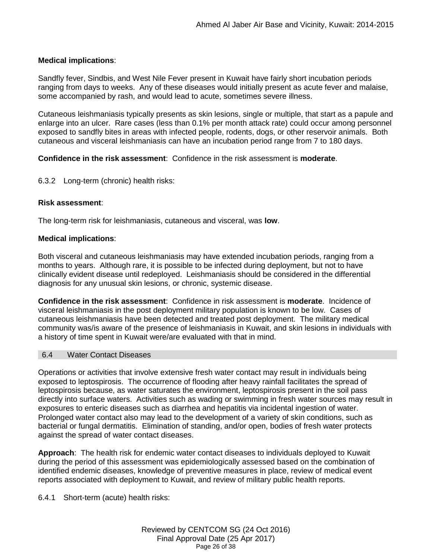# **Medical implications**:

Sandfly fever, Sindbis, and West Nile Fever present in Kuwait have fairly short incubation periods ranging from days to weeks. Any of these diseases would initially present as acute fever and malaise, some accompanied by rash, and would lead to acute, sometimes severe illness.

Cutaneous leishmaniasis typically presents as skin lesions, single or multiple, that start as a papule and enlarge into an ulcer. Rare cases (less than 0.1% per month attack rate) could occur among personnel exposed to sandfly bites in areas with infected people, rodents, dogs, or other reservoir animals. Both cutaneous and visceral leishmaniasis can have an incubation period range from 7 to 180 days.

**Confidence in the risk assessment**: Confidence in the risk assessment is **moderate**.

6.3.2 Long-term (chronic) health risks:

## **Risk assessment**:

The long-term risk for leishmaniasis, cutaneous and visceral, was **low**.

## **Medical implications**:

Both visceral and cutaneous leishmaniasis may have extended incubation periods, ranging from a months to years. Although rare, it is possible to be infected during deployment, but not to have clinically evident disease until redeployed. Leishmaniasis should be considered in the differential diagnosis for any unusual skin lesions, or chronic, systemic disease.

**Confidence in the risk assessment**: Confidence in risk assessment is **moderate**. Incidence of visceral leishmaniasis in the post deployment military population is known to be low. Cases of cutaneous leishmaniasis have been detected and treated post deployment. The military medical community was/is aware of the presence of leishmaniasis in Kuwait, and skin lesions in individuals with a history of time spent in Kuwait were/are evaluated with that in mind.

## <span id="page-25-0"></span>6.4 Water Contact Diseases

Operations or activities that involve extensive fresh water contact may result in individuals being exposed to leptospirosis. The occurrence of flooding after heavy rainfall facilitates the spread of leptospirosis because, as water saturates the environment, leptospirosis present in the soil pass directly into surface waters. Activities such as wading or swimming in fresh water sources may result in exposures to enteric diseases such as diarrhea and hepatitis via incidental ingestion of water. Prolonged water contact also may lead to the development of a variety of skin conditions, such as bacterial or fungal dermatitis. Elimination of standing, and/or open, bodies of fresh water protects against the spread of water contact diseases.

**Approach**: The health risk for endemic water contact diseases to individuals deployed to Kuwait during the period of this assessment was epidemiologically assessed based on the combination of identified endemic diseases, knowledge of preventive measures in place, review of medical event reports associated with deployment to Kuwait, and review of military public health reports.

6.4.1 Short-term (acute) health risks: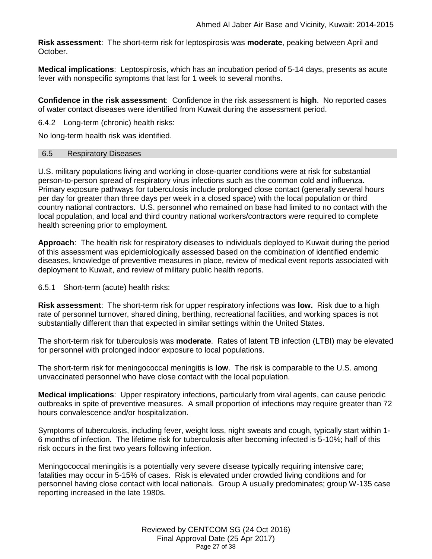**Risk assessment**: The short-term risk for leptospirosis was **moderate**, peaking between April and October.

**Medical implications**: Leptospirosis, which has an incubation period of 5-14 days, presents as acute fever with nonspecific symptoms that last for 1 week to several months.

**Confidence in the risk assessment**: Confidence in the risk assessment is **high**. No reported cases of water contact diseases were identified from Kuwait during the assessment period.

6.4.2 Long-term (chronic) health risks:

No long-term health risk was identified.

## <span id="page-26-0"></span>6.5 Respiratory Diseases

U.S. military populations living and working in close-quarter conditions were at risk for substantial person-to-person spread of respiratory virus infections such as the common cold and influenza. Primary exposure pathways for tuberculosis include prolonged close contact (generally several hours per day for greater than three days per week in a closed space) with the local population or third country national contractors. U.S. personnel who remained on base had limited to no contact with the local population, and local and third country national workers/contractors were required to complete health screening prior to employment.

**Approach**: The health risk for respiratory diseases to individuals deployed to Kuwait during the period of this assessment was epidemiologically assessed based on the combination of identified endemic diseases, knowledge of preventive measures in place, review of medical event reports associated with deployment to Kuwait, and review of military public health reports.

6.5.1 Short-term (acute) health risks:

**Risk assessment**: The short-term risk for upper respiratory infections was **low.** Risk due to a high rate of personnel turnover, shared dining, berthing, recreational facilities, and working spaces is not substantially different than that expected in similar settings within the United States.

The short-term risk for tuberculosis was **moderate**. Rates of latent TB infection (LTBI) may be elevated for personnel with prolonged indoor exposure to local populations.

The short-term risk for meningococcal meningitis is **low**. The risk is comparable to the U.S. among unvaccinated personnel who have close contact with the local population.

**Medical implications**: Upper respiratory infections, particularly from viral agents, can cause periodic outbreaks in spite of preventive measures. A small proportion of infections may require greater than 72 hours convalescence and/or hospitalization.

Symptoms of tuberculosis, including fever, weight loss, night sweats and cough, typically start within 1- 6 months of infection. The lifetime risk for tuberculosis after becoming infected is 5-10%; half of this risk occurs in the first two years following infection.

Meningococcal meningitis is a potentially very severe disease typically requiring intensive care; fatalities may occur in 5-15% of cases. Risk is elevated under crowded living conditions and for personnel having close contact with local nationals. Group A usually predominates; group W-135 case reporting increased in the late 1980s.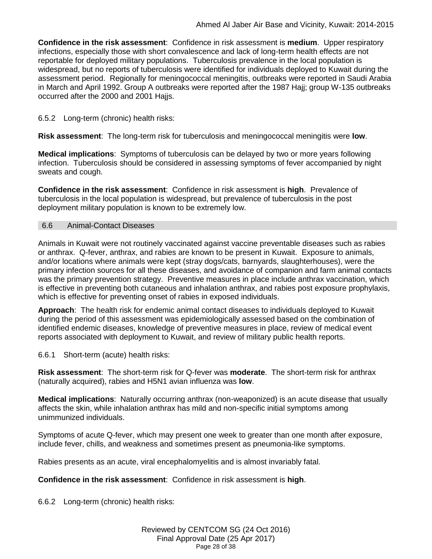**Confidence in the risk assessment**: Confidence in risk assessment is **medium**. Upper respiratory infections, especially those with short convalescence and lack of long-term health effects are not reportable for deployed military populations. Tuberculosis prevalence in the local population is widespread, but no reports of tuberculosis were identified for individuals deployed to Kuwait during the assessment period. Regionally for meningococcal meningitis, outbreaks were reported in Saudi Arabia in March and April 1992. Group A outbreaks were reported after the 1987 Hajj; group W-135 outbreaks occurred after the 2000 and 2001 Hajjs.

# 6.5.2 Long-term (chronic) health risks:

**Risk assessment**: The long-term risk for tuberculosis and meningococcal meningitis were **low**.

**Medical implications**: Symptoms of tuberculosis can be delayed by two or more years following infection. Tuberculosis should be considered in assessing symptoms of fever accompanied by night sweats and cough.

**Confidence in the risk assessment**: Confidence in risk assessment is **high**. Prevalence of tuberculosis in the local population is widespread, but prevalence of tuberculosis in the post deployment military population is known to be extremely low.

## <span id="page-27-0"></span>6.6 Animal-Contact Diseases

Animals in Kuwait were not routinely vaccinated against vaccine preventable diseases such as rabies or anthrax. Q-fever, anthrax, and rabies are known to be present in Kuwait. Exposure to animals, and/or locations where animals were kept (stray dogs/cats, barnyards, slaughterhouses), were the primary infection sources for all these diseases, and avoidance of companion and farm animal contacts was the primary prevention strategy. Preventive measures in place include anthrax vaccination, which is effective in preventing both cutaneous and inhalation anthrax, and rabies post exposure prophylaxis, which is effective for preventing onset of rabies in exposed individuals.

**Approach**: The health risk for endemic animal contact diseases to individuals deployed to Kuwait during the period of this assessment was epidemiologically assessed based on the combination of identified endemic diseases, knowledge of preventive measures in place, review of medical event reports associated with deployment to Kuwait, and review of military public health reports.

6.6.1 Short-term (acute) health risks:

**Risk assessment**: The short-term risk for Q-fever was **moderate**. The short-term risk for anthrax (naturally acquired), rabies and H5N1 avian influenza was **low**.

**Medical implications**: Naturally occurring anthrax (non-weaponized) is an acute disease that usually affects the skin, while inhalation anthrax has mild and non-specific initial symptoms among unimmunized individuals.

Symptoms of acute Q-fever, which may present one week to greater than one month after exposure, include fever, chills, and weakness and sometimes present as pneumonia-like symptoms.

Rabies presents as an acute, viral encephalomyelitis and is almost invariably fatal.

**Confidence in the risk assessment**: Confidence in risk assessment is **high**.

6.6.2 Long-term (chronic) health risks: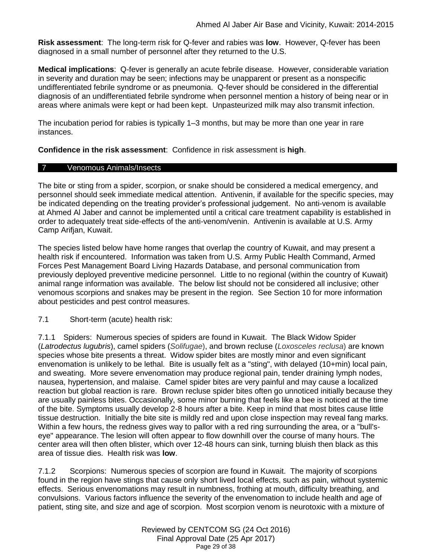**Risk assessment**: The long-term risk for Q-fever and rabies was **low**. However, Q-fever has been diagnosed in a small number of personnel after they returned to the U.S.

**Medical implications**: Q-fever is generally an acute febrile disease. However, considerable variation in severity and duration may be seen; infections may be unapparent or present as a nonspecific undifferentiated febrile syndrome or as pneumonia. Q-fever should be considered in the differential diagnosis of an undifferentiated febrile syndrome when personnel mention a history of being near or in areas where animals were kept or had been kept. Unpasteurized milk may also transmit infection.

The incubation period for rabies is typically 1–3 months, but may be more than one year in rare instances.

**Confidence in the risk assessment**: Confidence in risk assessment is **high**.

# <span id="page-28-0"></span>7 Venomous Animals/Insects

The bite or sting from a spider, scorpion, or snake should be considered a medical emergency, and personnel should seek immediate medical attention. Antivenin, if available for the specific species, may be indicated depending on the treating provider's professional judgement. No anti-venom is available at Ahmed Al Jaber and cannot be implemented until a critical care treatment capability is established in order to adequately treat side-effects of the anti-venom/venin. Antivenin is available at U.S. Army Camp Arifjan, Kuwait.

The species listed below have home ranges that overlap the country of Kuwait, and may present a health risk if encountered. Information was taken from U.S. Army Public Health Command, Armed Forces Pest Management Board Living Hazards Database, and personal communication from previously deployed preventive medicine personnel. Little to no regional (within the country of Kuwait) animal range information was available. The below list should not be considered all inclusive; other venomous scorpions and snakes may be present in the region. See Section 10 for more information about pesticides and pest control measures.

7.1 Short-term (acute) health risk:

7.1.1 Spiders: Numerous species of spiders are found in Kuwait. The Black Widow Spider (*Latrodectus lugubris*), camel spiders (*Solifugae*), and brown recluse (*Loxosceles reclusa*) are known species whose bite presents a threat. Widow spider bites are mostly minor and even significant envenomation is unlikely to be lethal. Bite is usually felt as a "sting", with delayed (10+min) local pain, and sweating. More severe envenomation may produce regional pain, tender draining lymph nodes, nausea, hypertension, and malaise. Camel spider bites are very painful and may cause a localized reaction but global reaction is rare. Brown recluse spider bites often go unnoticed initially because they are usually painless bites. Occasionally, some minor burning that feels like a bee is noticed at the time of the bite. Symptoms usually develop 2-8 hours after a bite. Keep in mind that most bites cause little tissue destruction. Initially the bite site is mildly red and upon close inspection may reveal fang marks. Within a few hours, the redness gives way to pallor with a red ring surrounding the area, or a "bull'seye" appearance. The lesion will often appear to flow downhill over the course of many hours. The center area will then often blister, which over 12-48 hours can sink, turning bluish then black as this area of tissue dies. Health risk was **low**.

7.1.2 Scorpions: Numerous species of scorpion are found in Kuwait. The majority of scorpions found in the region have stings that cause only short lived local effects, such as pain, without systemic effects. Serious envenomations may result in numbness, frothing at mouth, difficulty breathing, and convulsions. Various factors influence the severity of the envenomation to include health and age of patient, sting site, and size and age of scorpion. Most scorpion venom is neurotoxic with a mixture of

> Reviewed by CENTCOM SG (24 Oct 2016) Final Approval Date (25 Apr 2017) Page 29 of 38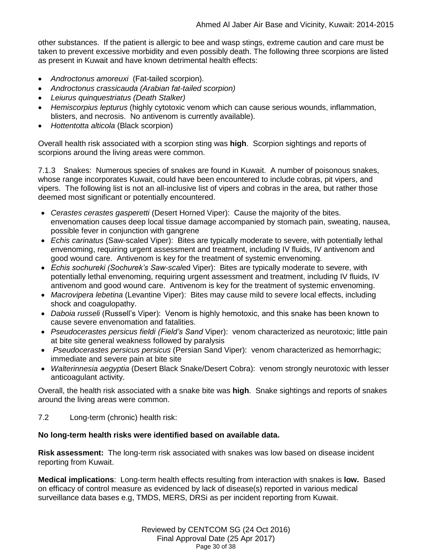other substances. If the patient is allergic to bee and wasp stings, extreme caution and care must be taken to prevent excessive morbidity and even possibly death. The following three scorpions are listed as present in Kuwait and have known detrimental health effects:

- *Androctonus amoreuxi* (Fat-tailed scorpion).
- *Androctonus crassicauda (Arabian fat-tailed scorpion)*
- *Leiurus quinquestriatus (Death Stalker)*
- *Hemiscorpius lepturus* (highly cytotoxic venom which can cause serious wounds, inflammation, blisters, and necrosis. No antivenom is currently available).
- *Hottentotta alticola* (Black scorpion)

Overall health risk associated with a scorpion sting was **high**. Scorpion sightings and reports of scorpions around the living areas were common.

7.1.3 Snakes: Numerous species of snakes are found in Kuwait. A number of poisonous snakes, whose range incorporates Kuwait, could have been encountered to include cobras, pit vipers, and vipers. The following list is not an all-inclusive list of vipers and cobras in the area, but rather those deemed most significant or potentially encountered.

- *Cerastes cerastes gasperetti* (Desert Horned Viper): Cause the majority of the bites. envenomation causes deep local tissue damage accompanied by stomach pain, sweating, nausea, possible fever in conjunction with gangrene
- *Echis carinatus* (Saw-scaled Viper): Bites are typically moderate to severe, with potentially lethal envenoming, requiring urgent assessment and treatment, including IV fluids, IV antivenom and good wound care. Antivenom is key for the treatment of systemic envenoming.
- *Echis sochureki (Sochurek's Saw-scal*ed Viper): Bites are typically moderate to severe, with potentially lethal envenoming, requiring urgent assessment and treatment, including IV fluids, IV antivenom and good wound care. Antivenom is key for the treatment of systemic envenoming.
- *Macrovipera lebetina* (Levantine Viper): Bites may cause mild to sever*e* local effects, including shock and coagulopathy.
- *Daboia russeli* (Russell's Viper): Venom is highly hemotoxic, and this snake has been known to cause severe envenomation and fatalities.
- *Pseudocerastes persicus fieldi (Field's Sand* Viper): venom characterized as neurotoxic; little pain at bite site general weakness followed by paralysis
- *Pseudocerastes persicus persicus* (Persian Sand Viper): venom characterized as hemorrhagic; immediate and severe pain at bite site
- *Walterinnesia aegyptia* (Desert Black Snake/Desert Cobra): venom strongly neurotoxic with lesser anticoagulant activity.

Overall, the health risk associated with a snake bite was **high**. Snake sightings and reports of snakes around the living areas were common.

7.2 Long-term (chronic) health risk:

# **No long-term health risks were identified based on available data.**

**Risk assessment:** The long-term risk associated with snakes was low based on disease incident reporting from Kuwait.

**Medical implications**: Long-term health effects resulting from interaction with snakes is **low.** Based on efficacy of control measure as evidenced by lack of disease(s) reported in various medical surveillance data bases e.g, TMDS, MERS, DRSi as per incident reporting from Kuwait.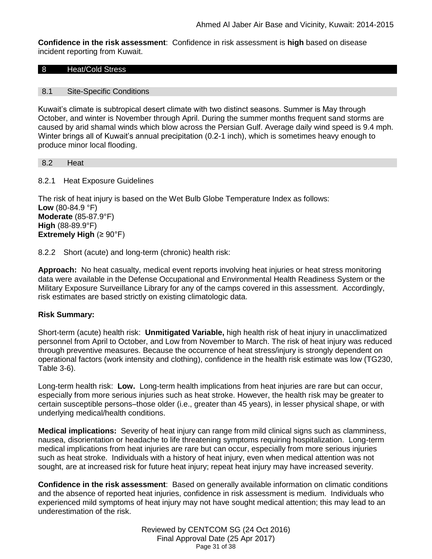**Confidence in the risk assessment**: Confidence in risk assessment is **high** based on disease incident reporting from Kuwait.

## <span id="page-30-0"></span>8 Heat/Cold Stress

#### 8.1 Site-Specific Conditions

Kuwait's climate is subtropical desert climate with two distinct seasons. Summer is May through October, and winter is November through April. During the summer months frequent sand storms are caused by arid shamal winds which blow across the Persian Gulf. Average daily wind speed is 9.4 mph. Winter brings all of Kuwait's annual precipitation (0.2-1 inch), which is sometimes heavy enough to produce minor local flooding.

## <span id="page-30-1"></span>8.2 Heat

8.2.1 Heat Exposure Guidelines

The risk of heat injury is based on the Wet Bulb Globe Temperature Index as follows: **Low** (80-84.9 °F) **Moderate** (85-87.9°F) **High** (88-89.9°F) **Extremely High** (≥ 90°F)

8.2.2 Short (acute) and long-term (chronic) health risk:

**Approach:** No heat casualty, medical event reports involving heat injuries or heat stress monitoring data were available in the Defense Occupational and Environmental Health Readiness System or the Military Exposure Surveillance Library for any of the camps covered in this assessment. Accordingly, risk estimates are based strictly on existing climatologic data.

## **Risk Summary:**

Short-term (acute) health risk: **Unmitigated Variable,** high health risk of heat injury in unacclimatized personnel from April to October, and Low from November to March. The risk of heat injury was reduced through preventive measures. Because the occurrence of heat stress/injury is strongly dependent on operational factors (work intensity and clothing), confidence in the health risk estimate was low (TG230, Table 3-6).

Long-term health risk: **Low.** Long-term health implications from heat injuries are rare but can occur, especially from more serious injuries such as heat stroke. However, the health risk may be greater to certain susceptible persons–those older (i.e., greater than 45 years), in lesser physical shape, or with underlying medical/health conditions.

**Medical implications:** Severity of heat injury can range from mild clinical signs such as clamminess, nausea, disorientation or headache to life threatening symptoms requiring hospitalization. Long-term medical implications from heat injuries are rare but can occur, especially from more serious injuries such as heat stroke. Individuals with a history of heat injury, even when medical attention was not sought, are at increased risk for future heat injury; repeat heat injury may have increased severity.

**Confidence in the risk assessment**: Based on generally available information on climatic conditions and the absence of reported heat injuries, confidence in risk assessment is medium. Individuals who experienced mild symptoms of heat injury may not have sought medical attention; this may lead to an underestimation of the risk.

> Reviewed by CENTCOM SG (24 Oct 2016) Final Approval Date (25 Apr 2017) Page 31 of 38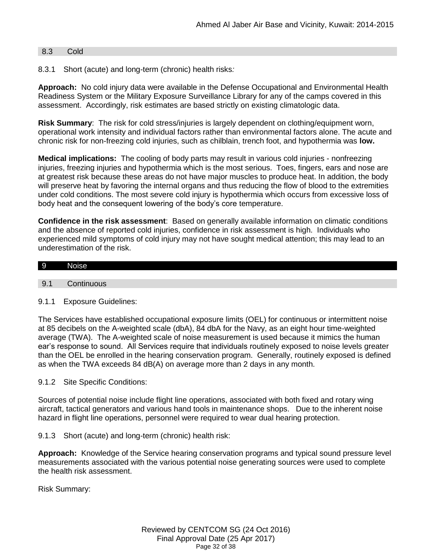## <span id="page-31-0"></span>8.3 Cold

8.3.1 Short (acute) and long-term (chronic) health risks*:*

**Approach:** No cold injury data were available in the Defense Occupational and Environmental Health Readiness System or the Military Exposure Surveillance Library for any of the camps covered in this assessment. Accordingly, risk estimates are based strictly on existing climatologic data.

**Risk Summary**: The risk for cold stress/injuries is largely dependent on clothing/equipment worn, operational work intensity and individual factors rather than environmental factors alone. The acute and chronic risk for non-freezing cold injuries, such as chilblain, trench foot, and hypothermia was **low.**

**Medical implications:** The cooling of body parts may result in various cold injuries - nonfreezing injuries, freezing injuries and hypothermia which is the most serious. Toes, fingers, ears and nose are at greatest risk because these areas do not have major muscles to produce heat. In addition, the body will preserve heat by favoring the internal organs and thus reducing the flow of blood to the extremities under cold conditions. The most severe cold injury is hypothermia which occurs from excessive loss of body heat and the consequent lowering of the body's core temperature.

**Confidence in the risk assessment**: Based on generally available information on climatic conditions and the absence of reported cold injuries, confidence in risk assessment is high. Individuals who experienced mild symptoms of cold injury may not have sought medical attention; this may lead to an underestimation of the risk.

# 9 Noise

- <span id="page-31-1"></span>9.1 Continuous
- 9.1.1 Exposure Guidelines:

The Services have established occupational exposure limits (OEL) for continuous or intermittent noise at 85 decibels on the A-weighted scale (dbA), 84 dbA for the Navy, as an eight hour time-weighted average (TWA). The A-weighted scale of noise measurement is used because it mimics the human ear's response to sound. All Services require that individuals routinely exposed to noise levels greater than the OEL be enrolled in the hearing conservation program. Generally, routinely exposed is defined as when the TWA exceeds 84 dB(A) on average more than 2 days in any month.

9.1.2 Site Specific Conditions:

Sources of potential noise include flight line operations, associated with both fixed and rotary wing aircraft, tactical generators and various hand tools in maintenance shops. Due to the inherent noise hazard in flight line operations, personnel were required to wear dual hearing protection.

9.1.3 Short (acute) and long-term (chronic) health risk:

**Approach:** Knowledge of the Service hearing conservation programs and typical sound pressure level measurements associated with the various potential noise generating sources were used to complete the health risk assessment.

Risk Summary: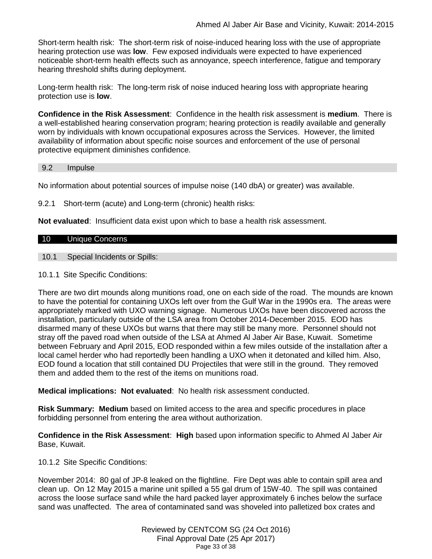Short-term health risk: The short-term risk of noise-induced hearing loss with the use of appropriate hearing protection use was **low**. Few exposed individuals were expected to have experienced noticeable short-term health effects such as annoyance, speech interference, fatigue and temporary hearing threshold shifts during deployment.

Long-term health risk: The long-term risk of noise induced hearing loss with appropriate hearing protection use is **low**.

**Confidence in the Risk Assessment**: Confidence in the health risk assessment is **medium**. There is a well-established hearing conservation program; hearing protection is readily available and generally worn by individuals with known occupational exposures across the Services. However, the limited availability of information about specific noise sources and enforcement of the use of personal protective equipment diminishes confidence.

## 9.2 Impulse

No information about potential sources of impulse noise (140 dbA) or greater) was available.

9.2.1 Short-term (acute) and Long-term (chronic) health risks:

**Not evaluated**: Insufficient data exist upon which to base a health risk assessment.

## <span id="page-32-0"></span>10 Unique Concerns

<span id="page-32-1"></span>10.1 Special Incidents or Spills:

10.1.1 Site Specific Conditions:

There are two dirt mounds along munitions road, one on each side of the road. The mounds are known to have the potential for containing UXOs left over from the Gulf War in the 1990s era. The areas were appropriately marked with UXO warning signage. Numerous UXOs have been discovered across the installation, particularly outside of the LSA area from October 2014-December 2015. EOD has disarmed many of these UXOs but warns that there may still be many more. Personnel should not stray off the paved road when outside of the LSA at Ahmed Al Jaber Air Base, Kuwait. Sometime between February and April 2015, EOD responded within a few miles outside of the installation after a local camel herder who had reportedly been handling a UXO when it detonated and killed him. Also, EOD found a location that still contained DU Projectiles that were still in the ground. They removed them and added them to the rest of the items on munitions road.

**Medical implications: Not evaluated**: No health risk assessment conducted.

**Risk Summary: Medium** based on limited access to the area and specific procedures in place forbidding personnel from entering the area without authorization.

**Confidence in the Risk Assessment**: **High** based upon information specific to Ahmed Al Jaber Air Base, Kuwait.

10.1.2 Site Specific Conditions:

November 2014: 80 gal of JP-8 leaked on the flightline. Fire Dept was able to contain spill area and clean up. On 12 May 2015 a marine unit spilled a 55 gal drum of 15W-40. The spill was contained across the loose surface sand while the hard packed layer approximately 6 inches below the surface sand was unaffected. The area of contaminated sand was shoveled into palletized box crates and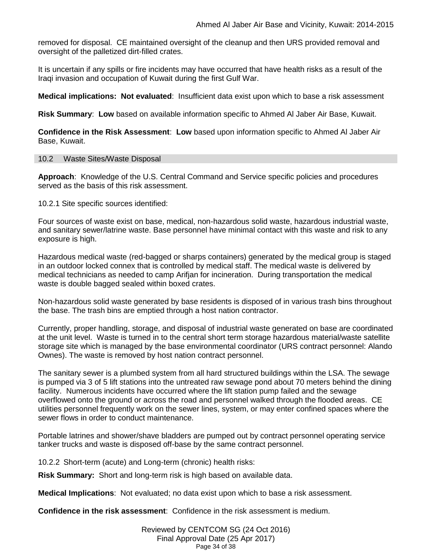removed for disposal. CE maintained oversight of the cleanup and then URS provided removal and oversight of the palletized dirt-filled crates.

It is uncertain if any spills or fire incidents may have occurred that have health risks as a result of the Iraqi invasion and occupation of Kuwait during the first Gulf War.

**Medical implications: Not evaluated**: Insufficient data exist upon which to base a risk assessment

**Risk Summary**: **Low** based on available information specific to Ahmed Al Jaber Air Base, Kuwait.

**Confidence in the Risk Assessment**: **Low** based upon information specific to Ahmed Al Jaber Air Base, Kuwait.

## 10.2 Waste Sites/Waste Disposal

**Approach**: Knowledge of the U.S. Central Command and Service specific policies and procedures served as the basis of this risk assessment.

10.2.1 Site specific sources identified:

Four sources of waste exist on base, medical, non-hazardous solid waste, hazardous industrial waste, and sanitary sewer/latrine waste. Base personnel have minimal contact with this waste and risk to any exposure is high.

Hazardous medical waste (red-bagged or sharps containers) generated by the medical group is staged in an outdoor locked connex that is controlled by medical staff. The medical waste is delivered by medical technicians as needed to camp Arifjan for incineration. During transportation the medical waste is double bagged sealed within boxed crates.

Non-hazardous solid waste generated by base residents is disposed of in various trash bins throughout the base. The trash bins are emptied through a host nation contractor.

Currently, proper handling, storage, and disposal of industrial waste generated on base are coordinated at the unit level. Waste is turned in to the central short term storage hazardous material/waste satellite storage site which is managed by the base environmental coordinator (URS contract personnel: Alando Ownes). The waste is removed by host nation contract personnel.

The sanitary sewer is a plumbed system from all hard structured buildings within the LSA. The sewage is pumped via 3 of 5 lift stations into the untreated raw sewage pond about 70 meters behind the dining facility. Numerous incidents have occurred where the lift station pump failed and the sewage overflowed onto the ground or across the road and personnel walked through the flooded areas. CE utilities personnel frequently work on the sewer lines, system, or may enter confined spaces where the sewer flows in order to conduct maintenance.

Portable latrines and shower/shave bladders are pumped out by contract personnel operating service tanker trucks and waste is disposed off-base by the same contract personnel.

10.2.2 Short-term (acute) and Long-term (chronic) health risks:

**Risk Summary:** Short and long-term risk is high based on available data.

**Medical Implications**: Not evaluated; no data exist upon which to base a risk assessment.

**Confidence in the risk assessment**: Confidence in the risk assessment is medium.

Reviewed by CENTCOM SG (24 Oct 2016) Final Approval Date (25 Apr 2017) Page 34 of 38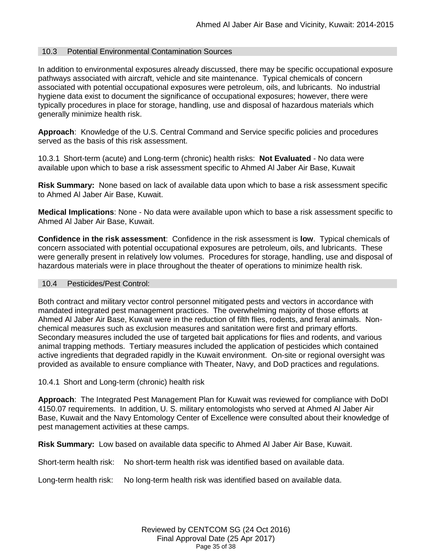#### 10.3 Potential Environmental Contamination Sources

In addition to environmental exposures already discussed, there may be specific occupational exposure pathways associated with aircraft, vehicle and site maintenance. Typical chemicals of concern associated with potential occupational exposures were petroleum, oils, and lubricants. No industrial hygiene data exist to document the significance of occupational exposures; however, there were typically procedures in place for storage, handling, use and disposal of hazardous materials which generally minimize health risk.

**Approach**: Knowledge of the U.S. Central Command and Service specific policies and procedures served as the basis of this risk assessment.

10.3.1 Short-term (acute) and Long-term (chronic) health risks: **Not Evaluated** - No data were available upon which to base a risk assessment specific to Ahmed Al Jaber Air Base, Kuwait

**Risk Summary:** None based on lack of available data upon which to base a risk assessment specific to Ahmed Al Jaber Air Base, Kuwait.

**Medical Implications**: None - No data were available upon which to base a risk assessment specific to Ahmed Al Jaber Air Base, Kuwait.

**Confidence in the risk assessment**: Confidence in the risk assessment is **low**. Typical chemicals of concern associated with potential occupational exposures are petroleum, oils, and lubricants. These were generally present in relatively low volumes. Procedures for storage, handling, use and disposal of hazardous materials were in place throughout the theater of operations to minimize health risk.

#### 10.4 Pesticides/Pest Control:

Both contract and military vector control personnel mitigated pests and vectors in accordance with mandated integrated pest management practices. The overwhelming majority of those efforts at Ahmed Al Jaber Air Base, Kuwait were in the reduction of filth flies, rodents, and feral animals. Nonchemical measures such as exclusion measures and sanitation were first and primary efforts. Secondary measures included the use of targeted bait applications for flies and rodents, and various animal trapping methods. Tertiary measures included the application of pesticides which contained active ingredients that degraded rapidly in the Kuwait environment. On-site or regional oversight was provided as available to ensure compliance with Theater, Navy, and DoD practices and regulations.

10.4.1 Short and Long-term (chronic) health risk

**Approach**: The Integrated Pest Management Plan for Kuwait was reviewed for compliance with DoDI 4150.07 requirements. In addition, U. S. military entomologists who served at Ahmed Al Jaber Air Base, Kuwait and the Navy Entomology Center of Excellence were consulted about their knowledge of pest management activities at these camps.

**Risk Summary:** Low based on available data specific to Ahmed Al Jaber Air Base, Kuwait.

Short-term health risk: No short-term health risk was identified based on available data.

Long-term health risk: No long-term health risk was identified based on available data.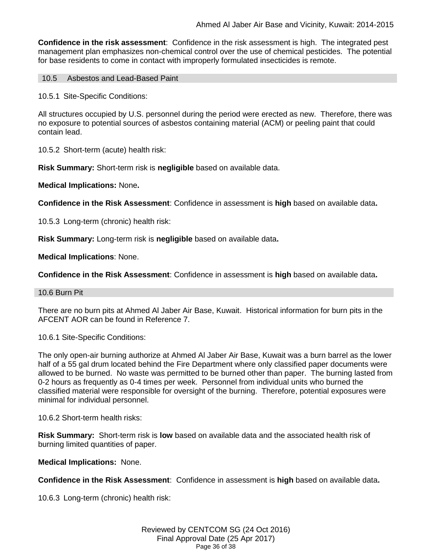**Confidence in the risk assessment**: Confidence in the risk assessment is high. The integrated pest management plan emphasizes non-chemical control over the use of chemical pesticides. The potential for base residents to come in contact with improperly formulated insecticides is remote.

10.5 Asbestos and Lead-Based Paint

10.5.1 Site-Specific Conditions:

All structures occupied by U.S. personnel during the period were erected as new. Therefore, there was no exposure to potential sources of asbestos containing material (ACM) or peeling paint that could contain lead.

10.5.2 Short-term (acute) health risk:

**Risk Summary:** Short-term risk is **negligible** based on available data.

**Medical Implications:** None**.**

**Confidence in the Risk Assessment**: Confidence in assessment is **high** based on available data**.**

10.5.3 Long-term (chronic) health risk:

**Risk Summary:** Long-term risk is **negligible** based on available data**.**

**Medical Implications**: None.

**Confidence in the Risk Assessment**: Confidence in assessment is **high** based on available data**.**

## 10.6 Burn Pit

There are no burn pits at Ahmed Al Jaber Air Base, Kuwait. Historical information for burn pits in the AFCENT AOR can be found in Reference 7.

#### 10.6.1 Site-Specific Conditions:

The only open-air burning authorize at Ahmed Al Jaber Air Base, Kuwait was a burn barrel as the lower half of a 55 gal drum located behind the Fire Department where only classified paper documents were allowed to be burned. No waste was permitted to be burned other than paper. The burning lasted from 0-2 hours as frequently as 0-4 times per week. Personnel from individual units who burned the classified material were responsible for oversight of the burning. Therefore, potential exposures were minimal for individual personnel.

10.6.2 Short-term health risks:

**Risk Summary:** Short-term risk is **low** based on available data and the associated health risk of burning limited quantities of paper.

**Medical Implications:** None.

**Confidence in the Risk Assessment**: Confidence in assessment is **high** based on available data**.**

10.6.3 Long-term (chronic) health risk: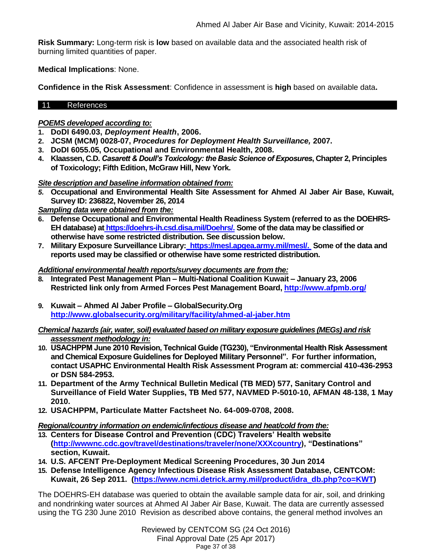**Risk Summary:** Long-term risk is **low** based on available data and the associated health risk of burning limited quantities of paper.

**Medical Implications**: None.

**Confidence in the Risk Assessment**: Confidence in assessment is **high** based on available data**.**

## 11 References

## *POEMS developed according to:*

- **1. DoDI 6490.03,** *Deployment Health***, 2006.**
- **2. JCSM (MCM) 0028-07,** *Procedures for Deployment Health Surveillance,* **2007.**
- **3. DoDI 6055.05, Occupational and Environmental Health, 2008.**
- **4. Klaassen, C.D.** *Casarett & Doull's Toxicology: the Basic Science of Exposures***, Chapter 2, Principles of Toxicology; Fifth Edition, McGraw Hill, New York.**

## *Site description and baseline information obtained from:*

*5.* **Occupational and Environmental Health Site Assessment for Ahmed Al Jaber Air Base, Kuwait, Survey ID: 236822, November 26, 2014**

*Sampling data were obtained from the:*

- **6. Defense Occupational and Environmental Health Readiness System (referred to as the DOEHRS-EH database) at [https://doehrs-ih.csd.disa.mil/Doehrs/.](https://doehrs-ih.csd.disa.mil/Doehrs/) Some of the data may be classified or otherwise have some restricted distribution. See discussion below.**
- **7. Military Exposure Surveillance Library: [https://mesl.apgea.army.mil/mesl/.](https://mesl.apgea.army.mil/mesl/) Some of the data and reports used may be classified or otherwise have some restricted distribution.**

## *Additional environmental health reports/survey documents are from the:*

- **8. Integrated Pest Management Plan – Multi-National Coalition Kuwait – January 23, 2006 Restricted link only from Armed Forces Pest Management Board,<http://www.afpmb.org/>**
- **9. Kuwait – Ahmed Al Jaber Profile – GlobalSecurity.Org <http://www.globalsecurity.org/military/facility/ahmed-al-jaber.htm>**

## *Chemical hazards (air, water, soil) evaluated based on military exposure guidelines (MEGs) and risk assessment methodology in:*

- **10. USACHPPM June 2010 Revision, Technical Guide (TG230), "Environmental Health Risk Assessment and Chemical Exposure Guidelines for Deployed Military Personnel". For further information, contact USAPHC Environmental Health Risk Assessment Program at: commercial 410-436-2953 or DSN 584-2953.**
- **11. Department of the Army Technical Bulletin Medical (TB MED) 577, Sanitary Control and Surveillance of Field Water Supplies, TB Med 577, NAVMED P-5010-10, AFMAN 48-138, 1 May 2010.**
- **12. USACHPPM, Particulate Matter Factsheet No. 64-009-0708, 2008.**

*Regional/country information on endemic/infectious disease and heat/cold from the:*

- **13. Centers for Disease Control and Prevention (CDC) Travelers' Health website [\(http://wwwnc.cdc.gov/travel/destinations/traveler/none/XXXcountry\)](http://wwwnc.cdc.gov/travel/destinations/traveler/none/afghanistan), "Destinations" section, Kuwait.**
- **14. U.S. AFCENT Pre-Deployment Medical Screening Procedures, 30 Jun 2014**
- **15. Defense Intelligence Agency Infectious Disease Risk Assessment Database, CENTCOM: Kuwait, 26 Sep 2011. [\(https://www.ncmi.detrick.army.mil/product/idra\\_db.php?co=KWT\)](https://www.ncmi.detrick.army.mil/product/idra_db.php?co=KWT)**

The DOEHRS-EH database was queried to obtain the available sample data for air, soil, and drinking and nondrinking water sources at Ahmed Al Jaber Air Base, Kuwait. The data are currently assessed using the TG 230 June 2010 Revision as described above contains, the general method involves an